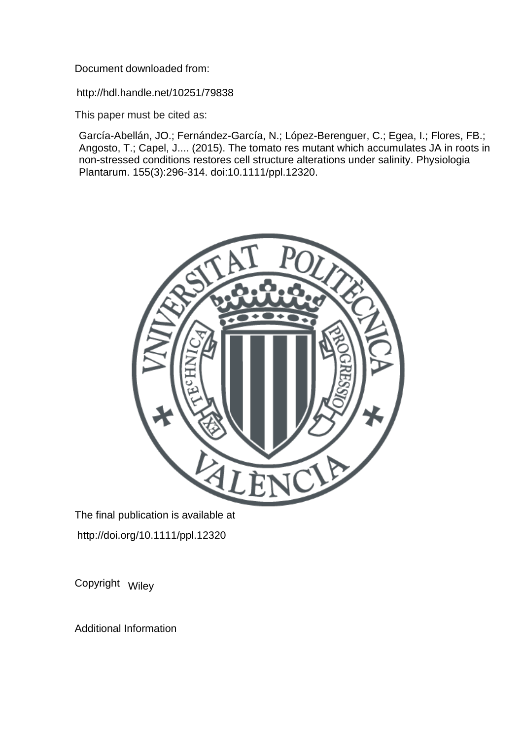Document downloaded from:

http://hdl.handle.net/10251/79838

This paper must be cited as:

García-Abellán, JO.; Fernández-García, N.; López-Berenguer, C.; Egea, I.; Flores, FB.; Angosto, T.; Capel, J.... (2015). The tomato res mutant which accumulates JA in roots in non-stressed conditions restores cell structure alterations under salinity. Physiologia Plantarum. 155(3):296-314. doi:10.1111/ppl.12320.



The final publication is available at http://doi.org/10.1111/ppl.12320

Copyright Wiley

Additional Information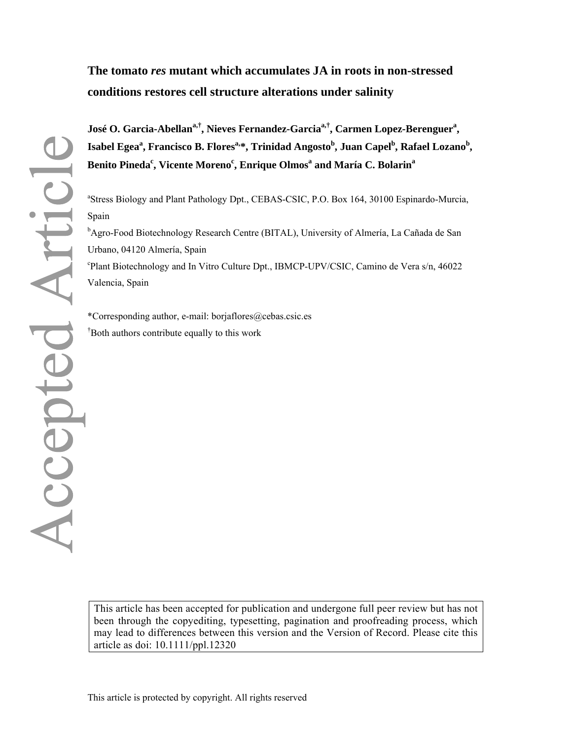### **The tomato** *res* **mutant which accumulates JA in roots in non-stressed conditions restores cell structure alterations under salinity**

**José O. Garcia-Abellana,†, Nieves Fernandez-Garciaa,†, Carmen Lopez-Berenguera ,**  Isabel Egea<sup>a</sup>, Francisco B. Flores<sup>a,</sup>\*, Trinidad Angosto<sup>b</sup>, Juan Capel<sup>b</sup>, Rafael Lozano<sup>b</sup>,  $\mathbf{B}$ enito Pineda<sup>c</sup>, Vicente Moreno<sup>c</sup>, Enrique Olmos<sup>a</sup> and María C. Bolarin<sup>a</sup>

<sup>a</sup>Stress Biology and Plant Pathology Dpt., CEBAS-CSIC, P.O. Box 164, 30100 Espinardo-Murcia, Spain

<sup>b</sup>Agro-Food Biotechnology Research Centre (BITAL), University of Almería, La Cañada de San Urbano, 04120 Almería, Spain

c Plant Biotechnology and In Vitro Culture Dpt., IBMCP-UPV/CSIC, Camino de Vera s/n, 46022 Valencia, Spain

\*Corresponding author, e-mail: borjaflores@cebas.csic.es † Both authors contribute equally to this work

This article has been accepted for publication and undergone full peer review but has not been through the copyediting, typesetting, pagination and proofreading process, which may lead to differences between this version and the Version of Record. Please cite this article as doi: 10.1111/ppl.12320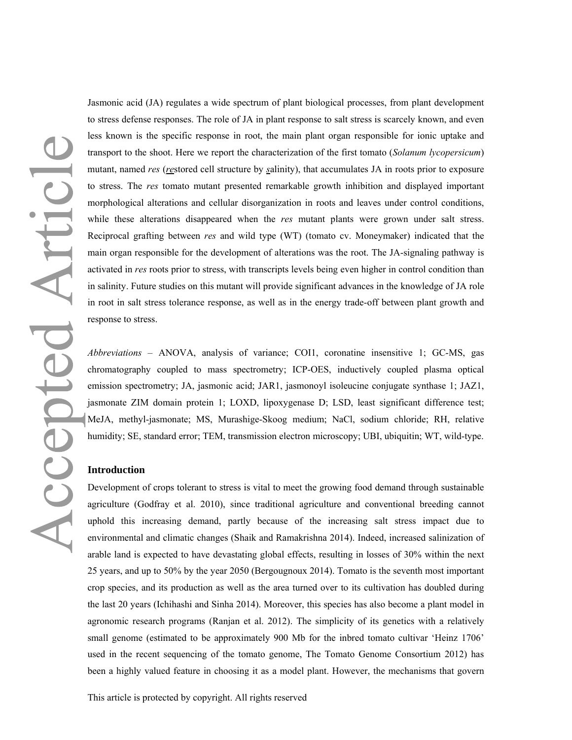Jasmonic acid (JA) regulates a wide spectrum of plant biological processes, from plant development to stress defense responses. The role of JA in plant response to salt stress is scarcely known, and even less known is the specific response in root, the main plant organ responsible for ionic uptake and transport to the shoot. Here we report the characterization of the first tomato (*Solanum lycopersicum*) mutant, named *res* (*re*stored cell structure by *s*alinity), that accumulates JA in roots prior to exposure to stress. The *res* tomato mutant presented remarkable growth inhibition and displayed important morphological alterations and cellular disorganization in roots and leaves under control conditions, while these alterations disappeared when the *res* mutant plants were grown under salt stress. Reciprocal grafting between *res* and wild type (WT) (tomato cv. Moneymaker) indicated that the main organ responsible for the development of alterations was the root. The JA-signaling pathway is activated in *res* roots prior to stress, with transcripts levels being even higher in control condition than in salinity. Future studies on this mutant will provide significant advances in the knowledge of JA role in root in salt stress tolerance response, as well as in the energy trade-off between plant growth and response to stress.

*Abbreviations* – ANOVA, analysis of variance; COI1, coronatine insensitive 1; GC-MS, gas chromatography coupled to mass spectrometry; ICP-OES, inductively coupled plasma optical emission spectrometry; JA, jasmonic acid; JAR1, jasmonoyl isoleucine conjugate synthase 1; JAZ1, jasmonate ZIM domain protein 1; LOXD, lipoxygenase D; LSD, least significant difference test; MeJA, methyl-jasmonate; MS, Murashige-Skoog medium; NaCl, sodium chloride; RH, relative humidity; SE, standard error; TEM, transmission electron microscopy; UBI, ubiquitin; WT, wild-type.

### **Introduction**

Development of crops tolerant to stress is vital to meet the growing food demand through sustainable agriculture (Godfray et al. 2010), since traditional agriculture and conventional breeding cannot uphold this increasing demand, partly because of the increasing salt stress impact due to environmental and climatic changes (Shaik and Ramakrishna 2014). Indeed, increased salinization of arable land is expected to have devastating global effects, resulting in losses of 30% within the next 25 years, and up to 50% by the year 2050 (Bergougnoux 2014). Tomato is the seventh most important crop species, and its production as well as the area turned over to its cultivation has doubled during the last 20 years (Ichihashi and Sinha 2014). Moreover, this species has also become a plant model in agronomic research programs (Ranjan et al. 2012). The simplicity of its genetics with a relatively small genome (estimated to be approximately 900 Mb for the inbred tomato cultivar 'Heinz 1706' used in the recent sequencing of the tomato genome, The Tomato Genome Consortium 2012) has been a highly valued feature in choosing it as a model plant. However, the mechanisms that govern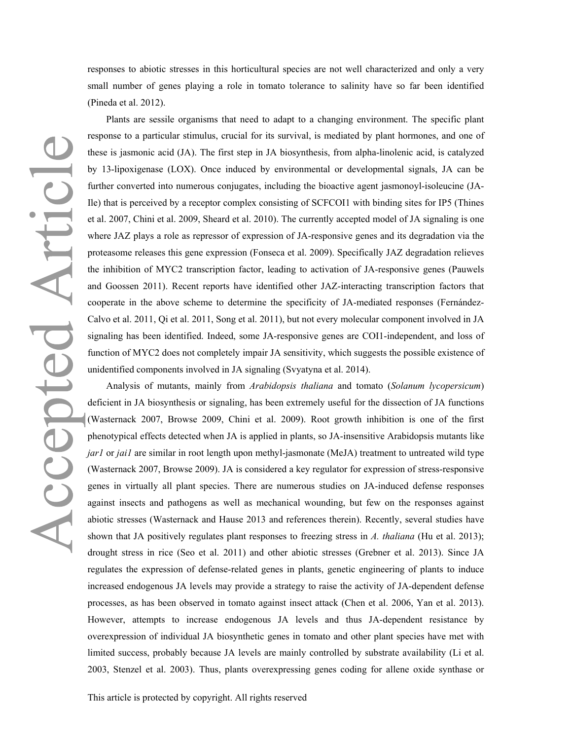responses to abiotic stresses in this horticultural species are not well characterized and only a very small number of genes playing a role in tomato tolerance to salinity have so far been identified (Pineda et al. 2012).

Accepted Articl

Plants are sessile organisms that need to adapt to a changing environment. The specific plant response to a particular stimulus, crucial for its survival, is mediated by plant hormones, and one of these is jasmonic acid (JA). The first step in JA biosynthesis, from alpha-linolenic acid, is catalyzed by 13-lipoxigenase (LOX). Once induced by environmental or developmental signals, JA can be further converted into numerous conjugates, including the bioactive agent jasmonoyl-isoleucine (JA-Ile) that is perceived by a receptor complex consisting of SCFCOI1 with binding sites for IP5 (Thines et al. 2007, Chini et al. 2009, Sheard et al. 2010). The currently accepted model of JA signaling is one where JAZ plays a role as repressor of expression of JA-responsive genes and its degradation via the proteasome releases this gene expression (Fonseca et al. 2009). Specifically JAZ degradation relieves the inhibition of MYC2 transcription factor, leading to activation of JA-responsive genes (Pauwels and Goossen 2011). Recent reports have identified other JAZ-interacting transcription factors that cooperate in the above scheme to determine the specificity of JA-mediated responses (Fernández-Calvo et al. 2011, Qi et al. 2011, Song et al. 2011), but not every molecular component involved in JA signaling has been identified. Indeed, some JA-responsive genes are COI1-independent, and loss of function of MYC2 does not completely impair JA sensitivity, which suggests the possible existence of unidentified components involved in JA signaling (Svyatyna et al. 2014).

Analysis of mutants, mainly from *Arabidopsis thaliana* and tomato (*Solanum lycopersicum*) deficient in JA biosynthesis or signaling, has been extremely useful for the dissection of JA functions (Wasternack 2007, Browse 2009, Chini et al. 2009). Root growth inhibition is one of the first phenotypical effects detected when JA is applied in plants, so JA-insensitive Arabidopsis mutants like *jar1* or *jai1* are similar in root length upon methyl-jasmonate (MeJA) treatment to untreated wild type (Wasternack 2007, Browse 2009). JA is considered a key regulator for expression of stress-responsive genes in virtually all plant species. There are numerous studies on JA-induced defense responses against insects and pathogens as well as mechanical wounding, but few on the responses against abiotic stresses (Wasternack and Hause 2013 and references therein). Recently, several studies have shown that JA positively regulates plant responses to freezing stress in *A. thaliana* (Hu et al. 2013); drought stress in rice (Seo et al. 2011) and other abiotic stresses (Grebner et al. 2013). Since JA regulates the expression of defense-related genes in plants, genetic engineering of plants to induce increased endogenous JA levels may provide a strategy to raise the activity of JA-dependent defense processes, as has been observed in tomato against insect attack (Chen et al. 2006, Yan et al. 2013). However, attempts to increase endogenous JA levels and thus JA-dependent resistance by overexpression of individual JA biosynthetic genes in tomato and other plant species have met with limited success, probably because JA levels are mainly controlled by substrate availability (Li et al. 2003, Stenzel et al. 2003). Thus, plants overexpressing genes coding for allene oxide synthase or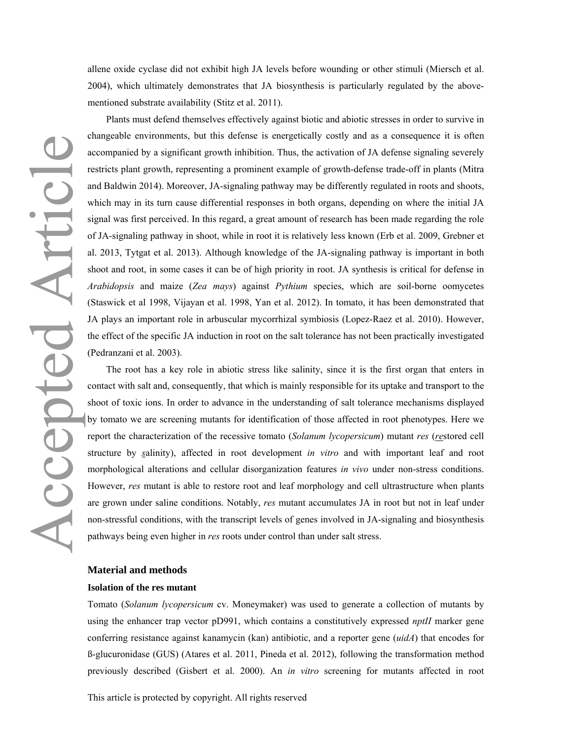allene oxide cyclase did not exhibit high JA levels before wounding or other stimuli (Miersch et al. 2004), which ultimately demonstrates that JA biosynthesis is particularly regulated by the abovementioned substrate availability (Stitz et al. 2011).

Accepted Articl

Plants must defend themselves effectively against biotic and abiotic stresses in order to survive in changeable environments, but this defense is energetically costly and as a consequence it is often accompanied by a significant growth inhibition. Thus, the activation of JA defense signaling severely restricts plant growth, representing a prominent example of growth-defense trade-off in plants (Mitra and Baldwin 2014). Moreover, JA-signaling pathway may be differently regulated in roots and shoots, which may in its turn cause differential responses in both organs, depending on where the initial JA signal was first perceived. In this regard, a great amount of research has been made regarding the role of JA-signaling pathway in shoot, while in root it is relatively less known (Erb et al. 2009, Grebner et al. 2013, Tytgat et al. 2013). Although knowledge of the JA-signaling pathway is important in both shoot and root, in some cases it can be of high priority in root. JA synthesis is critical for defense in *Arabidopsis* and maize (*Zea mays*) against *Pythium* species, which are soil-borne oomycetes (Staswick et al 1998, Vijayan et al. 1998, Yan et al. 2012). In tomato, it has been demonstrated that JA plays an important role in arbuscular mycorrhizal symbiosis (Lopez-Raez et al. 2010). However, the effect of the specific JA induction in root on the salt tolerance has not been practically investigated (Pedranzani et al. 2003).

The root has a key role in abiotic stress like salinity, since it is the first organ that enters in contact with salt and, consequently, that which is mainly responsible for its uptake and transport to the shoot of toxic ions. In order to advance in the understanding of salt tolerance mechanisms displayed by tomato we are screening mutants for identification of those affected in root phenotypes. Here we report the characterization of the recessive tomato (*Solanum lycopersicum*) mutant *res* (*re*stored cell structure by *s*alinity), affected in root development *in vitro* and with important leaf and root morphological alterations and cellular disorganization features *in vivo* under non-stress conditions. However, *res* mutant is able to restore root and leaf morphology and cell ultrastructure when plants are grown under saline conditions. Notably, *res* mutant accumulates JA in root but not in leaf under non-stressful conditions, with the transcript levels of genes involved in JA-signaling and biosynthesis pathways being even higher in *res* roots under control than under salt stress.

### **Material and methods**

### **Isolation of the res mutant**

Tomato (*Solanum lycopersicum* cv. Moneymaker) was used to generate a collection of mutants by using the enhancer trap vector pD991, which contains a constitutively expressed *nptII* marker gene conferring resistance against kanamycin (kan) antibiotic, and a reporter gene (*uidA*) that encodes for ß-glucuronidase (GUS) (Atares et al. 2011, Pineda et al. 2012), following the transformation method previously described (Gisbert et al. 2000). An *in vitro* screening for mutants affected in root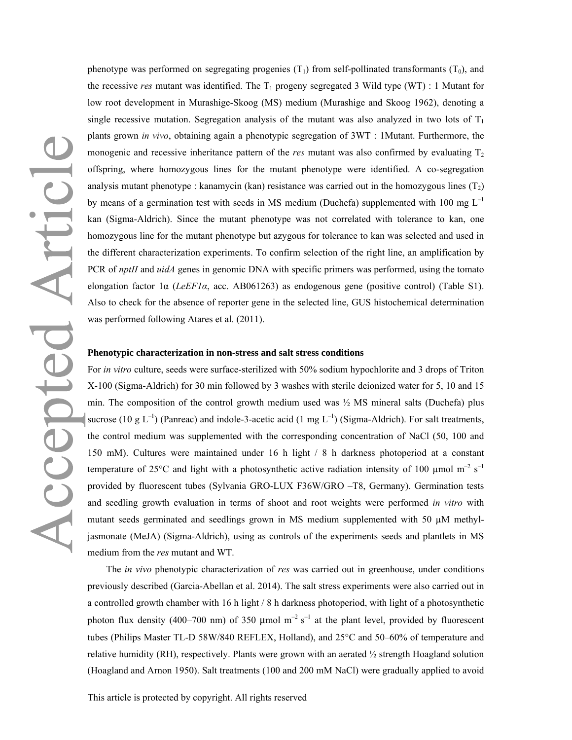phenotype was performed on segregating progenies  $(T_1)$  from self-pollinated transformants  $(T_0)$ , and the recessive *res* mutant was identified. The  $T_1$  progeny segregated 3 Wild type (WT) : 1 Mutant for low root development in Murashige-Skoog (MS) medium (Murashige and Skoog 1962), denoting a single recessive mutation. Segregation analysis of the mutant was also analyzed in two lots of  $T_1$ plants grown *in vivo*, obtaining again a phenotypic segregation of 3WT : 1Mutant. Furthermore, the monogenic and recessive inheritance pattern of the *res* mutant was also confirmed by evaluating  $T_2$ offspring, where homozygous lines for the mutant phenotype were identified. A co-segregation analysis mutant phenotype : kanamycin (kan) resistance was carried out in the homozygous lines  $(T_2)$ by means of a germination test with seeds in MS medium (Duchefa) supplemented with 100 mg  $L^{-1}$ kan (Sigma-Aldrich). Since the mutant phenotype was not correlated with tolerance to kan, one homozygous line for the mutant phenotype but azygous for tolerance to kan was selected and used in the different characterization experiments. To confirm selection of the right line, an amplification by PCR of *nptII* and *uidA* genes in genomic DNA with specific primers was performed, using the tomato elongation factor 1α (*LeEF1α*, acc. AB061263) as endogenous gene (positive control) (Table S1). Also to check for the absence of reporter gene in the selected line, GUS histochemical determination was performed following Atares et al. (2011).

### **Phenotypic characterization in non-stress and salt stress conditions**

For *in vitro* culture, seeds were surface-sterilized with 50% sodium hypochlorite and 3 drops of Triton X-100 (Sigma-Aldrich) for 30 min followed by 3 washes with sterile deionized water for 5, 10 and 15 min. The composition of the control growth medium used was  $\frac{1}{2}$  MS mineral salts (Duchefa) plus sucrose (10 g  $L^{-1}$ ) (Panreac) and indole-3-acetic acid (1 mg  $L^{-1}$ ) (Sigma-Aldrich). For salt treatments, the control medium was supplemented with the corresponding concentration of NaCl (50, 100 and 150 mM). Cultures were maintained under 16 h light / 8 h darkness photoperiod at a constant temperature of 25 $^{\circ}$ C and light with a photosynthetic active radiation intensity of 100 µmol m<sup>-2</sup> s<sup>-1</sup> provided by fluorescent tubes (Sylvania GRO-LUX F36W/GRO –T8, Germany). Germination tests and seedling growth evaluation in terms of shoot and root weights were performed *in vitro* with mutant seeds germinated and seedlings grown in MS medium supplemented with 50  $\mu$ M methyljasmonate (MeJA) (Sigma-Aldrich), using as controls of the experiments seeds and plantlets in MS medium from the *res* mutant and WT.

The *in vivo* phenotypic characterization of *res* was carried out in greenhouse, under conditions previously described (Garcia-Abellan et al. 2014). The salt stress experiments were also carried out in a controlled growth chamber with 16 h light / 8 h darkness photoperiod, with light of a photosynthetic photon flux density (400–700 nm) of 350  $\mu$ mol m<sup>-2</sup> s<sup>-1</sup> at the plant level, provided by fluorescent tubes (Philips Master TL-D 58W/840 REFLEX, Holland), and 25°C and 50–60% of temperature and relative humidity (RH), respectively. Plants were grown with an aerated ½ strength Hoagland solution (Hoagland and Arnon 1950). Salt treatments (100 and 200 mM NaCl) were gradually applied to avoid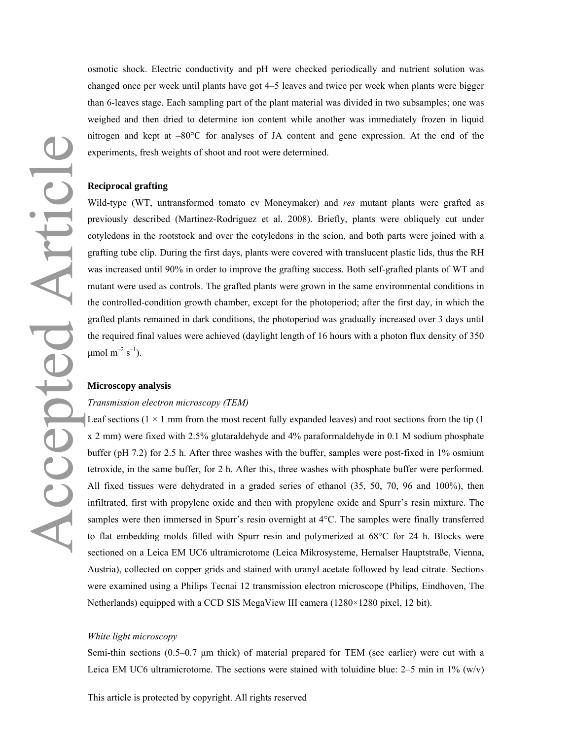osmotic shock. Electric conductivity and pH were checked periodically and nutrient solution was changed once per week until plants have got 4–5 leaves and twice per week when plants were bigger than 6-leaves stage. Each sampling part of the plant material was divided in two subsamples; one was weighed and then dried to determine ion content while another was immediately frozen in liquid nitrogen and kept at –80°C for analyses of JA content and gene expression. At the end of the experiments, fresh weights of shoot and root were determined.

### **Reciprocal grafting**

Wild-type (WT, untransformed tomato cv Moneymaker) and *res* mutant plants were grafted as previously described (Martinez-Rodriguez et al. 2008). Briefly, plants were obliquely cut under cotyledons in the rootstock and over the cotyledons in the scion, and both parts were joined with a grafting tube clip. During the first days, plants were covered with translucent plastic lids, thus the RH was increased until 90% in order to improve the grafting success. Both self-grafted plants of WT and mutant were used as controls. The grafted plants were grown in the same environmental conditions in the controlled-condition growth chamber, except for the photoperiod; after the first day, in which the grafted plants remained in dark conditions, the photoperiod was gradually increased over 3 days until the required final values were achieved (daylight length of 16 hours with a photon flux density of 350  $μ$ mol m<sup>-2</sup> s<sup>-1</sup>).

### **Microscopy analysis**

### *Transmission electron microscopy (TEM)*

Leaf sections  $(1 \times 1$  mm from the most recent fully expanded leaves) and root sections from the tip  $(1 \times 1$ x 2 mm) were fixed with 2.5% glutaraldehyde and 4% paraformaldehyde in 0.1 M sodium phosphate buffer (pH 7.2) for 2.5 h. After three washes with the buffer, samples were post-fixed in 1% osmium tetroxide, in the same buffer, for 2 h. After this, three washes with phosphate buffer were performed. All fixed tissues were dehydrated in a graded series of ethanol (35, 50, 70, 96 and 100%), then infiltrated, first with propylene oxide and then with propylene oxide and Spurr's resin mixture. The samples were then immersed in Spurr's resin overnight at 4°C. The samples were finally transferred to flat embedding molds filled with Spurr resin and polymerized at 68°C for 24 h. Blocks were sectioned on a Leica EM UC6 ultramicrotome (Leica Mikrosysteme, Hernalser Hauptstraße, Vienna, Austria), collected on copper grids and stained with uranyl acetate followed by lead citrate. Sections were examined using a Philips Tecnai 12 transmission electron microscope (Philips, Eindhoven, The Netherlands) equipped with a CCD SIS MegaView III camera (1280×1280 pixel, 12 bit).

### *White light microscopy*

Semi-thin sections (0.5–0.7 μm thick) of material prepared for TEM (see earlier) were cut with a Leica EM UC6 ultramicrotome. The sections were stained with toluidine blue:  $2-5$  min in  $1\%$  (w/v)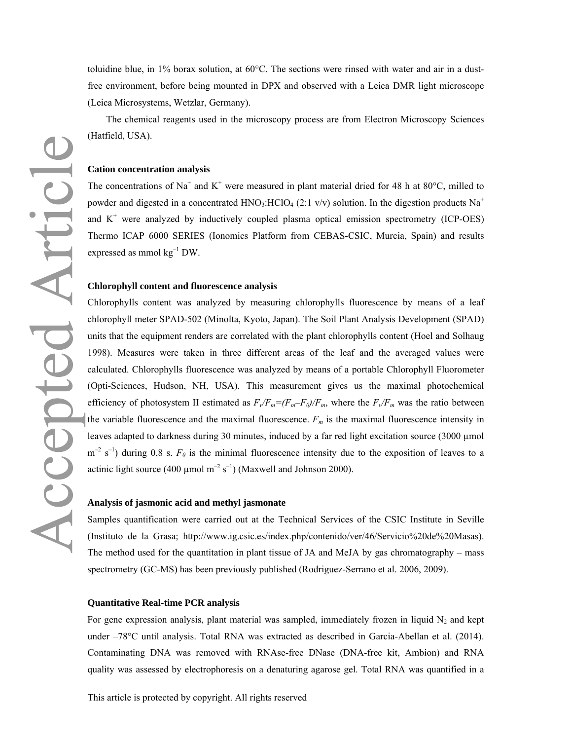toluidine blue, in 1% borax solution, at  $60^{\circ}$ C. The sections were rinsed with water and air in a dustfree environment, before being mounted in DPX and observed with a Leica DMR light microscope (Leica Microsystems, Wetzlar, Germany).

The chemical reagents used in the microscopy process are from Electron Microscopy Sciences (Hatfield, USA).

### **Cation concentration analysis**

The concentrations of Na<sup>+</sup> and K<sup>+</sup> were measured in plant material dried for 48 h at 80 $^{\circ}$ C, milled to powder and digested in a concentrated HNO<sub>3</sub>:HClO<sub>4</sub> (2:1 v/v) solution. In the digestion products Na<sup>+</sup> and  $K^+$  were analyzed by inductively coupled plasma optical emission spectrometry (ICP-OES) Thermo ICAP 6000 SERIES (Ionomics Platform from CEBAS-CSIC, Murcia, Spain) and results expressed as mmol  $kg^{-1}$  DW.

### **Chlorophyll content and fluorescence analysis**

Chlorophylls content was analyzed by measuring chlorophylls fluorescence by means of a leaf chlorophyll meter SPAD-502 (Minolta, Kyoto, Japan). The Soil Plant Analysis Development (SPAD) units that the equipment renders are correlated with the plant chlorophylls content (Hoel and Solhaug 1998). Measures were taken in three different areas of the leaf and the averaged values were calculated. Chlorophylls fluorescence was analyzed by means of a portable Chlorophyll Fluorometer (Opti-Sciences, Hudson, NH, USA). This measurement gives us the maximal photochemical efficiency of photosystem II estimated as  $F_v/F_m = (F_m - F_0)/F_m$ , where the  $F_v/F_m$  was the ratio between the variable fluorescence and the maximal fluorescence.  $F_m$  is the maximal fluorescence intensity in leaves adapted to darkness during 30 minutes, induced by a far red light excitation source (3000 µmol  $m^{-2}$  s<sup>-1</sup>) during 0,8 s.  $F_{0}$  is the minimal fluorescence intensity due to the exposition of leaves to a actinic light source (400  $\mu$ mol m<sup>-2</sup> s<sup>-1</sup>) (Maxwell and Johnson 2000).

### **Analysis of jasmonic acid and methyl jasmonate**

Samples quantification were carried out at the Technical Services of the CSIC Institute in Seville (Instituto de la Grasa; http://www.ig.csic.es/index.php/contenido/ver/46/Servicio%20de%20Masas). The method used for the quantitation in plant tissue of JA and MeJA by gas chromatography – mass spectrometry (GC-MS) has been previously published (Rodriguez-Serrano et al. 2006, 2009).

### **Quantitative Real-time PCR analysis**

For gene expression analysis, plant material was sampled, immediately frozen in liquid  $N_2$  and kept under –78°C until analysis. Total RNA was extracted as described in Garcia-Abellan et al. (2014). Contaminating DNA was removed with RNAse-free DNase (DNA-free kit, Ambion) and RNA quality was assessed by electrophoresis on a denaturing agarose gel. Total RNA was quantified in a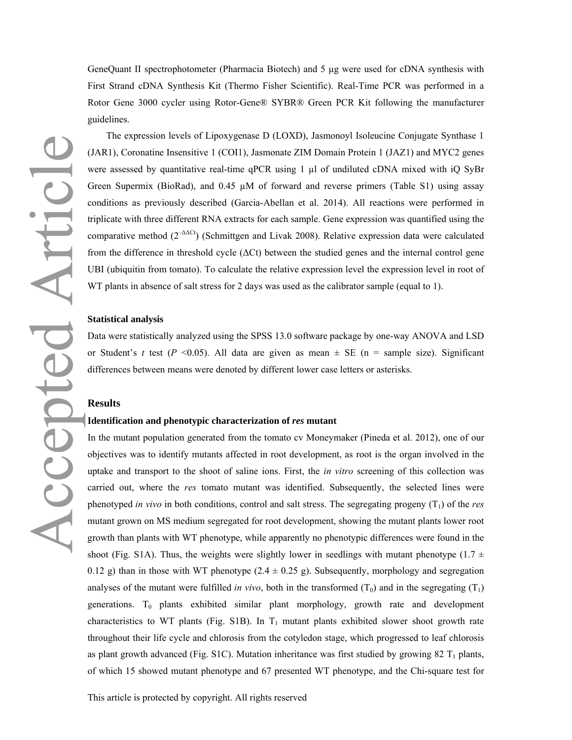GeneQuant II spectrophotometer (Pharmacia Biotech) and 5 μg were used for cDNA synthesis with First Strand cDNA Synthesis Kit (Thermo Fisher Scientific). Real-Time PCR was performed in a Rotor Gene 3000 cycler using Rotor-Gene® SYBR® Green PCR Kit following the manufacturer guidelines.

The expression levels of Lipoxygenase D (LOXD), Jasmonoyl Isoleucine Conjugate Synthase 1 (JAR1), Coronatine Insensitive 1 (COI1), Jasmonate ZIM Domain Protein 1 (JAZ1) and MYC2 genes were assessed by quantitative real-time qPCR using 1 µl of undiluted cDNA mixed with iQ SyBr Green Supermix (BioRad), and 0.45  $\mu$ M of forward and reverse primers (Table S1) using assay conditions as previously described (Garcia-Abellan et al. 2014). All reactions were performed in triplicate with three different RNA extracts for each sample. Gene expression was quantified using the comparative method  $(2^{-\Delta\Delta Ct})$  (Schmittgen and Livak 2008). Relative expression data were calculated from the difference in threshold cycle (ΔCt) between the studied genes and the internal control gene UBI (ubiquitin from tomato). To calculate the relative expression level the expression level in root of WT plants in absence of salt stress for 2 days was used as the calibrator sample (equal to 1).

### **Statistical analysis**

Data were statistically analyzed using the SPSS 13.0 software package by one-way ANOVA and LSD or Student's *t* test ( $P \le 0.05$ ). All data are given as mean  $\pm$  SE ( $n =$  sample size). Significant differences between means were denoted by different lower case letters or asterisks.

### **Results**

### **Identification and phenotypic characterization of** *res* **mutant**

In the mutant population generated from the tomato cv Moneymaker (Pineda et al. 2012), one of our objectives was to identify mutants affected in root development, as root is the organ involved in the uptake and transport to the shoot of saline ions. First, the *in vitro* screening of this collection was carried out, where the *res* tomato mutant was identified. Subsequently, the selected lines were phenotyped *in vivo* in both conditions, control and salt stress. The segregating progeny (T<sub>1</sub>) of the *res* mutant grown on MS medium segregated for root development, showing the mutant plants lower root growth than plants with WT phenotype, while apparently no phenotypic differences were found in the shoot (Fig. S1A). Thus, the weights were slightly lower in seedlings with mutant phenotype (1.7  $\pm$ 0.12 g) than in those with WT phenotype  $(2.4 \pm 0.25 \text{ g})$ . Subsequently, morphology and segregation analyses of the mutant were fulfilled *in vivo*, both in the transformed  $(T_0)$  and in the segregating  $(T_1)$ generations.  $T_0$  plants exhibited similar plant morphology, growth rate and development characteristics to WT plants (Fig. S1B). In  $T_1$  mutant plants exhibited slower shoot growth rate throughout their life cycle and chlorosis from the cotyledon stage, which progressed to leaf chlorosis as plant growth advanced (Fig. S1C). Mutation inheritance was first studied by growing 82  $T_1$  plants, of which 15 showed mutant phenotype and 67 presented WT phenotype, and the Chi-square test for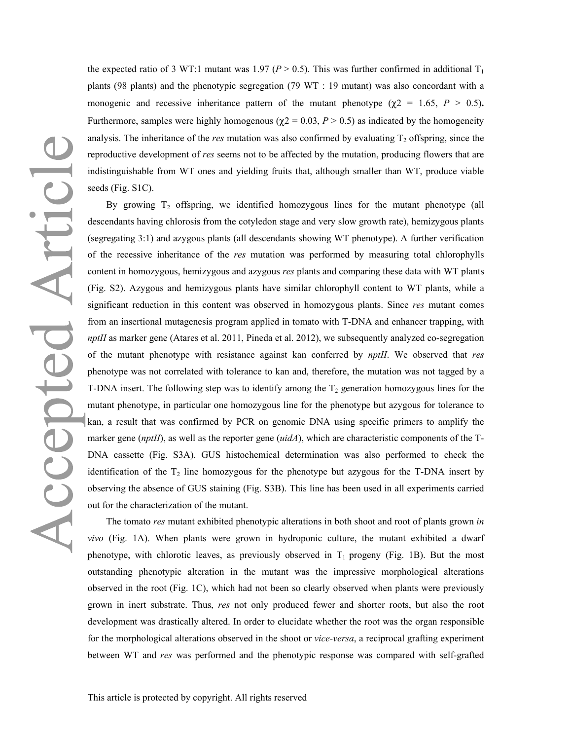the expected ratio of 3 WT:1 mutant was 1.97 ( $P > 0.5$ ). This was further confirmed in additional T<sub>1</sub> plants (98 plants) and the phenotypic segregation (79 WT : 19 mutant) was also concordant with a monogenic and recessive inheritance pattern of the mutant phenotype ( $\chi$ 2 = 1.65, *P* > 0.5)**.** Furthermore, samples were highly homogenous ( $\chi$ 2 = 0.03, *P* > 0.5) as indicated by the homogeneity analysis. The inheritance of the *res* mutation was also confirmed by evaluating  $T_2$  offspring, since the reproductive development of *res* seems not to be affected by the mutation, producing flowers that are indistinguishable from WT ones and yielding fruits that, although smaller than WT, produce viable seeds (Fig. S1C).

By growing  $T_2$  offspring, we identified homozygous lines for the mutant phenotype (all descendants having chlorosis from the cotyledon stage and very slow growth rate), hemizygous plants (segregating 3:1) and azygous plants (all descendants showing WT phenotype). A further verification of the recessive inheritance of the *res* mutation was performed by measuring total chlorophylls content in homozygous, hemizygous and azygous *res* plants and comparing these data with WT plants (Fig. S2). Azygous and hemizygous plants have similar chlorophyll content to WT plants, while a significant reduction in this content was observed in homozygous plants. Since *res* mutant comes from an insertional mutagenesis program applied in tomato with T-DNA and enhancer trapping, with *nptII* as marker gene (Atares et al. 2011, Pineda et al. 2012), we subsequently analyzed co-segregation of the mutant phenotype with resistance against kan conferred by *nptII*. We observed that *res* phenotype was not correlated with tolerance to kan and, therefore, the mutation was not tagged by a T-DNA insert. The following step was to identify among the  $T_2$  generation homozygous lines for the mutant phenotype, in particular one homozygous line for the phenotype but azygous for tolerance to kan, a result that was confirmed by PCR on genomic DNA using specific primers to amplify the marker gene (*nptII*), as well as the reporter gene (*uidA*), which are characteristic components of the T-DNA cassette (Fig. S3A). GUS histochemical determination was also performed to check the identification of the  $T_2$  line homozygous for the phenotype but azygous for the T-DNA insert by observing the absence of GUS staining (Fig. S3B). This line has been used in all experiments carried out for the characterization of the mutant.

The tomato *res* mutant exhibited phenotypic alterations in both shoot and root of plants grown *in vivo* (Fig. 1A). When plants were grown in hydroponic culture, the mutant exhibited a dwarf phenotype, with chlorotic leaves, as previously observed in  $T_1$  progeny (Fig. 1B). But the most outstanding phenotypic alteration in the mutant was the impressive morphological alterations observed in the root (Fig. 1C), which had not been so clearly observed when plants were previously grown in inert substrate. Thus, *res* not only produced fewer and shorter roots, but also the root development was drastically altered. In order to elucidate whether the root was the organ responsible for the morphological alterations observed in the shoot or *vice-versa*, a reciprocal grafting experiment between WT and *res* was performed and the phenotypic response was compared with self-grafted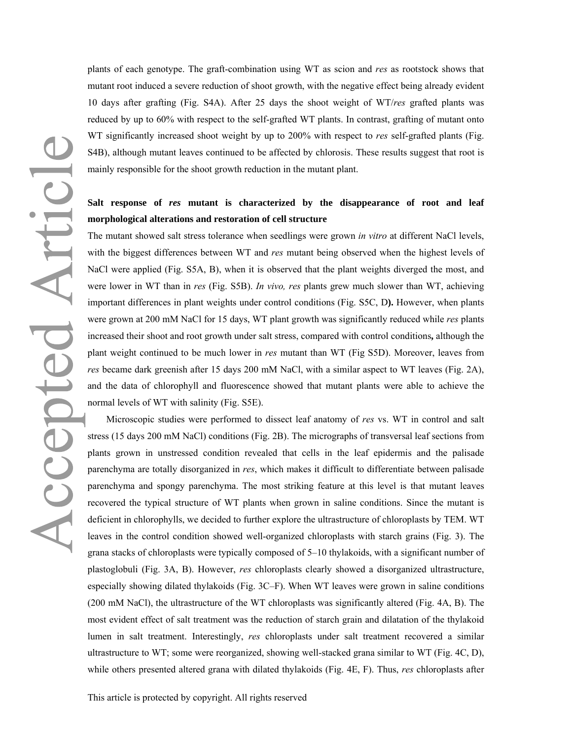plants of each genotype. The graft-combination using WT as scion and *res* as rootstock shows that mutant root induced a severe reduction of shoot growth, with the negative effect being already evident 10 days after grafting (Fig. S4A). After 25 days the shoot weight of WT/*res* grafted plants was reduced by up to 60% with respect to the self-grafted WT plants. In contrast, grafting of mutant onto WT significantly increased shoot weight by up to 200% with respect to *res* self-grafted plants (Fig. S4B), although mutant leaves continued to be affected by chlorosis. These results suggest that root is mainly responsible for the shoot growth reduction in the mutant plant.

### **Salt response of** *res* **mutant is characterized by the disappearance of root and leaf morphological alterations and restoration of cell structure**

The mutant showed salt stress tolerance when seedlings were grown *in vitro* at different NaCl levels, with the biggest differences between WT and *res* mutant being observed when the highest levels of NaCl were applied (Fig. S5A, B), when it is observed that the plant weights diverged the most, and were lower in WT than in *res* (Fig. S5B). *In vivo, res* plants grew much slower than WT, achieving important differences in plant weights under control conditions (Fig. S5C, D**).** However, when plants were grown at 200 mM NaCl for 15 days, WT plant growth was significantly reduced while *res* plants increased their shoot and root growth under salt stress, compared with control conditions**,** although the plant weight continued to be much lower in *res* mutant than WT (Fig S5D). Moreover, leaves from *res* became dark greenish after 15 days 200 mM NaCl, with a similar aspect to WT leaves (Fig. 2A), and the data of chlorophyll and fluorescence showed that mutant plants were able to achieve the normal levels of WT with salinity (Fig. S5E).

Microscopic studies were performed to dissect leaf anatomy of *res* vs. WT in control and salt stress (15 days 200 mM NaCl) conditions (Fig. 2B). The micrographs of transversal leaf sections from plants grown in unstressed condition revealed that cells in the leaf epidermis and the palisade parenchyma are totally disorganized in *res*, which makes it difficult to differentiate between palisade parenchyma and spongy parenchyma. The most striking feature at this level is that mutant leaves recovered the typical structure of WT plants when grown in saline conditions. Since the mutant is deficient in chlorophylls, we decided to further explore the ultrastructure of chloroplasts by TEM. WT leaves in the control condition showed well-organized chloroplasts with starch grains (Fig. 3). The grana stacks of chloroplasts were typically composed of 5–10 thylakoids, with a significant number of plastoglobuli (Fig. 3A, B). However, *res* chloroplasts clearly showed a disorganized ultrastructure, especially showing dilated thylakoids (Fig. 3C–F). When WT leaves were grown in saline conditions (200 mM NaCl), the ultrastructure of the WT chloroplasts was significantly altered (Fig. 4A, B). The most evident effect of salt treatment was the reduction of starch grain and dilatation of the thylakoid lumen in salt treatment. Interestingly, *res* chloroplasts under salt treatment recovered a similar ultrastructure to WT; some were reorganized, showing well-stacked grana similar to WT (Fig. 4C, D), while others presented altered grana with dilated thylakoids (Fig. 4E, F). Thus, *res* chloroplasts after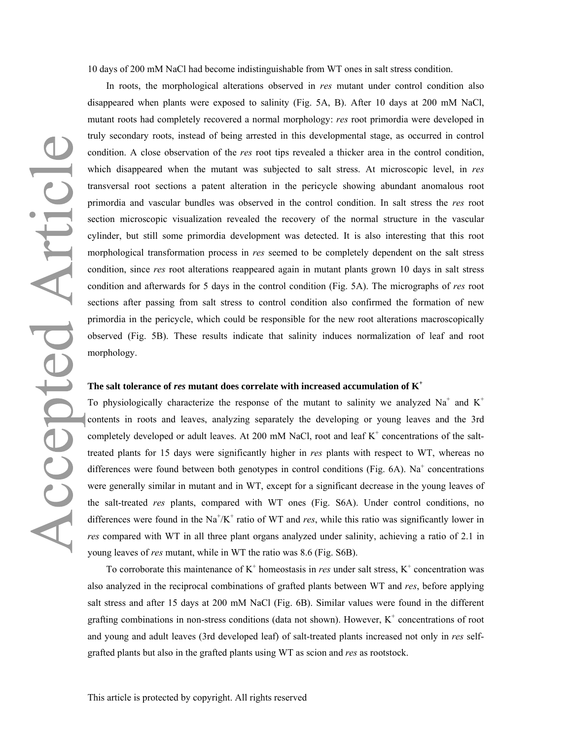10 days of 200 mM NaCl had become indistinguishable from WT ones in salt stress condition.

In roots, the morphological alterations observed in *res* mutant under control condition also disappeared when plants were exposed to salinity (Fig. 5A, B). After 10 days at 200 mM NaCl, mutant roots had completely recovered a normal morphology: *res* root primordia were developed in truly secondary roots, instead of being arrested in this developmental stage, as occurred in control condition. A close observation of the *res* root tips revealed a thicker area in the control condition, which disappeared when the mutant was subjected to salt stress. At microscopic level, in *res* transversal root sections a patent alteration in the pericycle showing abundant anomalous root primordia and vascular bundles was observed in the control condition. In salt stress the *res* root section microscopic visualization revealed the recovery of the normal structure in the vascular cylinder, but still some primordia development was detected. It is also interesting that this root morphological transformation process in *res* seemed to be completely dependent on the salt stress condition, since *res* root alterations reappeared again in mutant plants grown 10 days in salt stress condition and afterwards for 5 days in the control condition (Fig. 5A). The micrographs of *res* root sections after passing from salt stress to control condition also confirmed the formation of new primordia in the pericycle, which could be responsible for the new root alterations macroscopically observed (Fig. 5B). These results indicate that salinity induces normalization of leaf and root morphology.

### **The salt tolerance of** *res* **mutant does correlate with increased accumulation of K<sup>+</sup>**

To physiologically characterize the response of the mutant to salinity we analyzed Na<sup>+</sup> and K<sup>+</sup> contents in roots and leaves, analyzing separately the developing or young leaves and the 3rd completely developed or adult leaves. At 200 mM NaCl, root and leaf  $K^+$  concentrations of the salttreated plants for 15 days were significantly higher in *res* plants with respect to WT, whereas no differences were found between both genotypes in control conditions (Fig.  $6A$ ). Na<sup>+</sup> concentrations were generally similar in mutant and in WT, except for a significant decrease in the young leaves of the salt-treated *res* plants, compared with WT ones (Fig. S6A). Under control conditions, no differences were found in the  $\text{Na}^{\dagger}/\text{K}^{\dagger}$  ratio of WT and *res*, while this ratio was significantly lower in *res* compared with WT in all three plant organs analyzed under salinity, achieving a ratio of 2.1 in young leaves of *res* mutant, while in WT the ratio was 8.6 (Fig. S6B).

To corroborate this maintenance of  $K^+$  homeostasis in *res* under salt stress,  $K^+$  concentration was also analyzed in the reciprocal combinations of grafted plants between WT and *res*, before applying salt stress and after 15 days at 200 mM NaCl (Fig. 6B). Similar values were found in the different grafting combinations in non-stress conditions (data not shown). However,  $K^+$  concentrations of root and young and adult leaves (3rd developed leaf) of salt-treated plants increased not only in *res* selfgrafted plants but also in the grafted plants using WT as scion and *res* as rootstock.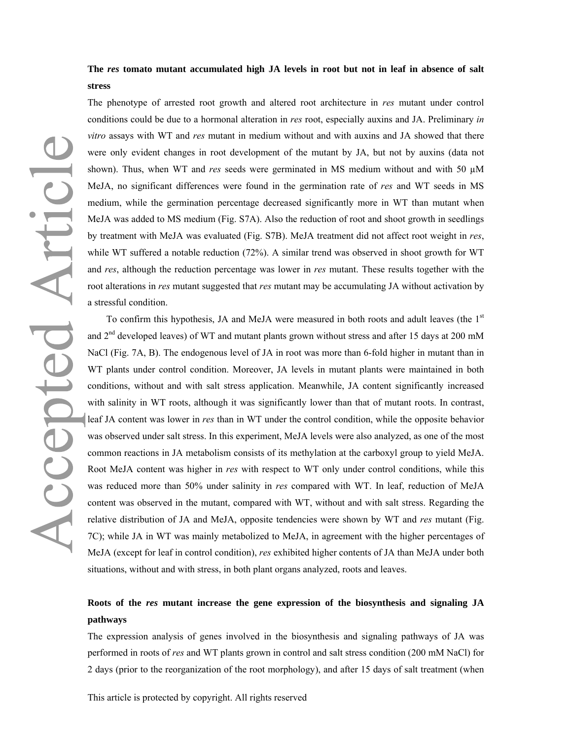**The** *res* **tomato mutant accumulated high JA levels in root but not in leaf in absence of salt stress** 

The phenotype of arrested root growth and altered root architecture in *res* mutant under control conditions could be due to a hormonal alteration in *res* root, especially auxins and JA. Preliminary *in vitro* assays with WT and *res* mutant in medium without and with auxins and JA showed that there were only evident changes in root development of the mutant by JA, but not by auxins (data not shown). Thus, when WT and *res* seeds were germinated in MS medium without and with 50 µM MeJA, no significant differences were found in the germination rate of *res* and WT seeds in MS medium, while the germination percentage decreased significantly more in WT than mutant when MeJA was added to MS medium (Fig. S7A). Also the reduction of root and shoot growth in seedlings by treatment with MeJA was evaluated (Fig. S7B). MeJA treatment did not affect root weight in *res*, while WT suffered a notable reduction (72%). A similar trend was observed in shoot growth for WT and *res*, although the reduction percentage was lower in *res* mutant. These results together with the root alterations in *res* mutant suggested that *res* mutant may be accumulating JA without activation by a stressful condition.

To confirm this hypothesis, JA and MeJA were measured in both roots and adult leaves (the  $1<sup>st</sup>$ and  $2<sup>nd</sup>$  developed leaves) of WT and mutant plants grown without stress and after 15 days at 200 mM NaCl (Fig. 7A, B). The endogenous level of JA in root was more than 6-fold higher in mutant than in WT plants under control condition. Moreover, JA levels in mutant plants were maintained in both conditions, without and with salt stress application. Meanwhile, JA content significantly increased with salinity in WT roots, although it was significantly lower than that of mutant roots. In contrast, leaf JA content was lower in *res* than in WT under the control condition, while the opposite behavior was observed under salt stress. In this experiment, MeJA levels were also analyzed, as one of the most common reactions in JA metabolism consists of its methylation at the carboxyl group to yield MeJA. Root MeJA content was higher in *res* with respect to WT only under control conditions, while this was reduced more than 50% under salinity in *res* compared with WT. In leaf, reduction of MeJA content was observed in the mutant, compared with WT, without and with salt stress. Regarding the relative distribution of JA and MeJA, opposite tendencies were shown by WT and *res* mutant (Fig. 7C); while JA in WT was mainly metabolized to MeJA, in agreement with the higher percentages of MeJA (except for leaf in control condition), *res* exhibited higher contents of JA than MeJA under both situations, without and with stress, in both plant organs analyzed, roots and leaves.

### **Roots of the** *res* **mutant increase the gene expression of the biosynthesis and signaling JA pathways**

The expression analysis of genes involved in the biosynthesis and signaling pathways of JA was performed in roots of *res* and WT plants grown in control and salt stress condition (200 mM NaCl) for 2 days (prior to the reorganization of the root morphology), and after 15 days of salt treatment (when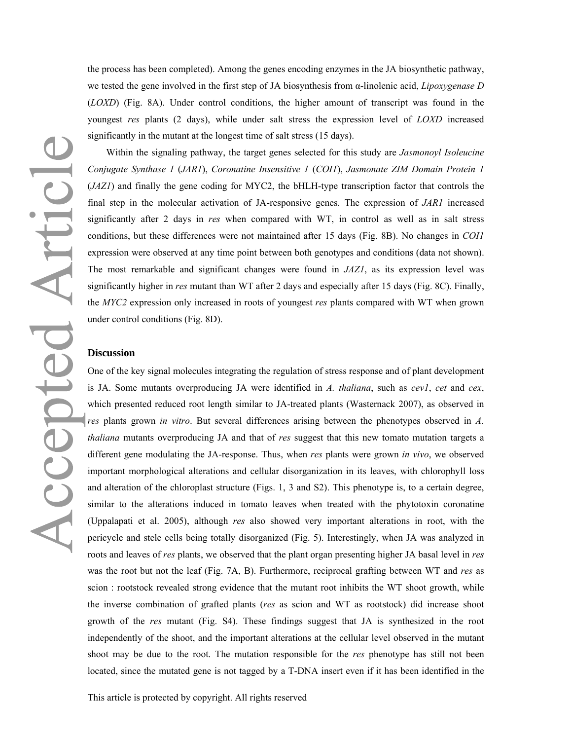the process has been completed). Among the genes encoding enzymes in the JA biosynthetic pathway, we tested the gene involved in the first step of JA biosynthesis from α-linolenic acid, *Lipoxygenase D* (*LOXD*) (Fig. 8A). Under control conditions, the higher amount of transcript was found in the youngest *res* plants (2 days), while under salt stress the expression level of *LOXD* increased significantly in the mutant at the longest time of salt stress (15 days).

Within the signaling pathway, the target genes selected for this study are *Jasmonoyl Isoleucine Conjugate Synthase 1* (*JAR1*), *Coronatine Insensitive 1* (*COI1*), *Jasmonate ZIM Domain Protein 1*  (*JAZ1*) and finally the gene coding for MYC2, the bHLH-type transcription factor that controls the final step in the molecular activation of JA-responsive genes. The expression of *JAR1* increased significantly after 2 days in *res* when compared with WT, in control as well as in salt stress conditions, but these differences were not maintained after 15 days (Fig. 8B). No changes in *COI1* expression were observed at any time point between both genotypes and conditions (data not shown). The most remarkable and significant changes were found in *JAZ1*, as its expression level was significantly higher in *res* mutant than WT after 2 days and especially after 15 days (Fig. 8C). Finally, the *MYC2* expression only increased in roots of youngest *res* plants compared with WT when grown under control conditions (Fig. 8D).

### **Discussion**

One of the key signal molecules integrating the regulation of stress response and of plant development is JA. Some mutants overproducing JA were identified in *A. thaliana*, such as *cev1*, *cet* and *cex*, which presented reduced root length similar to JA-treated plants (Wasternack 2007), as observed in *res* plants grown *in vitro*. But several differences arising between the phenotypes observed in *A. thaliana* mutants overproducing JA and that of *res* suggest that this new tomato mutation targets a different gene modulating the JA-response. Thus, when *res* plants were grown *in vivo*, we observed important morphological alterations and cellular disorganization in its leaves, with chlorophyll loss and alteration of the chloroplast structure (Figs. 1, 3 and S2). This phenotype is, to a certain degree, similar to the alterations induced in tomato leaves when treated with the phytotoxin coronatine (Uppalapati et al. 2005), although *res* also showed very important alterations in root, with the pericycle and stele cells being totally disorganized (Fig. 5). Interestingly, when JA was analyzed in roots and leaves of *res* plants, we observed that the plant organ presenting higher JA basal level in *res* was the root but not the leaf (Fig. 7A, B). Furthermore, reciprocal grafting between WT and *res* as scion : rootstock revealed strong evidence that the mutant root inhibits the WT shoot growth, while the inverse combination of grafted plants (*res* as scion and WT as rootstock) did increase shoot growth of the *res* mutant (Fig. S4). These findings suggest that JA is synthesized in the root independently of the shoot, and the important alterations at the cellular level observed in the mutant shoot may be due to the root. The mutation responsible for the *res* phenotype has still not been located, since the mutated gene is not tagged by a T-DNA insert even if it has been identified in the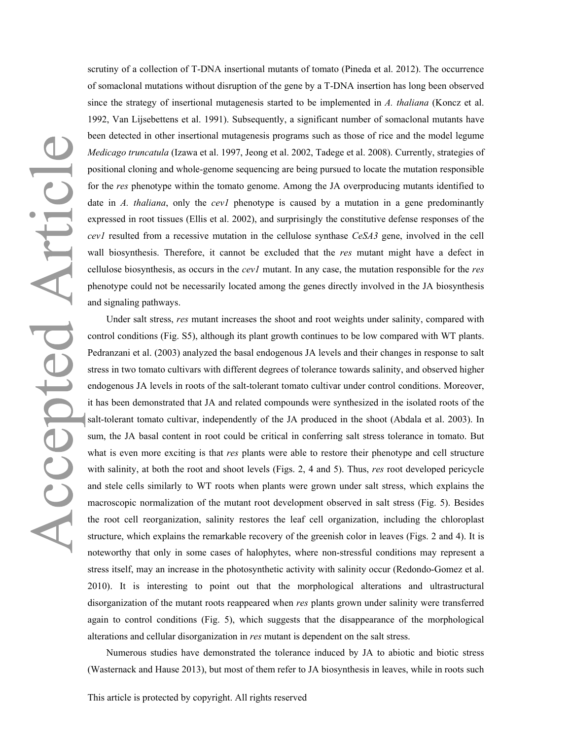scrutiny of a collection of T-DNA insertional mutants of tomato (Pineda et al. 2012). The occurrence of somaclonal mutations without disruption of the gene by a T-DNA insertion has long been observed since the strategy of insertional mutagenesis started to be implemented in *A. thaliana* (Koncz et al. 1992, Van Lijsebettens et al. 1991). Subsequently, a significant number of somaclonal mutants have been detected in other insertional mutagenesis programs such as those of rice and the model legume *Medicago truncatula* (Izawa et al. 1997, Jeong et al. 2002, Tadege et al. 2008). Currently, strategies of positional cloning and whole-genome sequencing are being pursued to locate the mutation responsible for the *res* phenotype within the tomato genome. Among the JA overproducing mutants identified to date in *A. thaliana*, only the *cev1* phenotype is caused by a mutation in a gene predominantly expressed in root tissues (Ellis et al. 2002), and surprisingly the constitutive defense responses of the *cev1* resulted from a recessive mutation in the cellulose synthase *CeSA3* gene, involved in the cell wall biosynthesis. Therefore, it cannot be excluded that the *res* mutant might have a defect in cellulose biosynthesis, as occurs in the *cev1* mutant. In any case, the mutation responsible for the *res* phenotype could not be necessarily located among the genes directly involved in the JA biosynthesis and signaling pathways.

Under salt stress, *res* mutant increases the shoot and root weights under salinity, compared with control conditions (Fig. S5), although its plant growth continues to be low compared with WT plants. Pedranzani et al. (2003) analyzed the basal endogenous JA levels and their changes in response to salt stress in two tomato cultivars with different degrees of tolerance towards salinity, and observed higher endogenous JA levels in roots of the salt-tolerant tomato cultivar under control conditions. Moreover, it has been demonstrated that JA and related compounds were synthesized in the isolated roots of the salt-tolerant tomato cultivar, independently of the JA produced in the shoot (Abdala et al. 2003). In sum, the JA basal content in root could be critical in conferring salt stress tolerance in tomato. But what is even more exciting is that *res* plants were able to restore their phenotype and cell structure with salinity, at both the root and shoot levels (Figs. 2, 4 and 5). Thus, *res* root developed pericycle and stele cells similarly to WT roots when plants were grown under salt stress, which explains the macroscopic normalization of the mutant root development observed in salt stress (Fig. 5). Besides the root cell reorganization, salinity restores the leaf cell organization, including the chloroplast structure, which explains the remarkable recovery of the greenish color in leaves (Figs. 2 and 4). It is noteworthy that only in some cases of halophytes, where non-stressful conditions may represent a stress itself, may an increase in the photosynthetic activity with salinity occur (Redondo-Gomez et al. 2010). It is interesting to point out that the morphological alterations and ultrastructural disorganization of the mutant roots reappeared when *res* plants grown under salinity were transferred again to control conditions (Fig. 5), which suggests that the disappearance of the morphological alterations and cellular disorganization in *res* mutant is dependent on the salt stress.

Numerous studies have demonstrated the tolerance induced by JA to abiotic and biotic stress (Wasternack and Hause 2013), but most of them refer to JA biosynthesis in leaves, while in roots such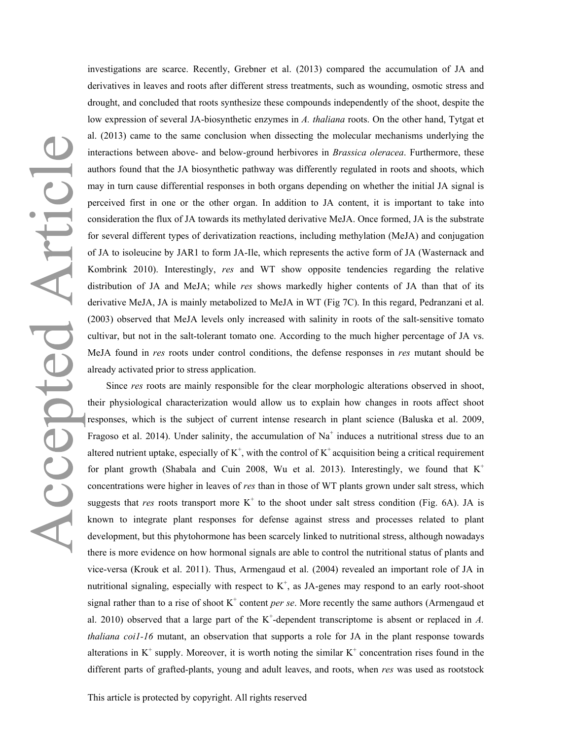investigations are scarce. Recently, Grebner et al. (2013) compared the accumulation of JA and derivatives in leaves and roots after different stress treatments, such as wounding, osmotic stress and drought, and concluded that roots synthesize these compounds independently of the shoot, despite the low expression of several JA-biosynthetic enzymes in *A. thaliana* roots. On the other hand, Tytgat et al. (2013) came to the same conclusion when dissecting the molecular mechanisms underlying the interactions between above- and below-ground herbivores in *Brassica oleracea*. Furthermore, these authors found that the JA biosynthetic pathway was differently regulated in roots and shoots, which may in turn cause differential responses in both organs depending on whether the initial JA signal is perceived first in one or the other organ. In addition to JA content, it is important to take into consideration the flux of JA towards its methylated derivative MeJA. Once formed, JA is the substrate for several different types of derivatization reactions, including methylation (MeJA) and conjugation of JA to isoleucine by JAR1 to form JA-Ile, which represents the active form of JA (Wasternack and Kombrink 2010). Interestingly, *res* and WT show opposite tendencies regarding the relative distribution of JA and MeJA; while *res* shows markedly higher contents of JA than that of its derivative MeJA, JA is mainly metabolized to MeJA in WT (Fig 7C). In this regard, Pedranzani et al. (2003) observed that MeJA levels only increased with salinity in roots of the salt-sensitive tomato cultivar, but not in the salt-tolerant tomato one. According to the much higher percentage of JA vs. MeJA found in *res* roots under control conditions, the defense responses in *res* mutant should be already activated prior to stress application.

Since *res* roots are mainly responsible for the clear morphologic alterations observed in shoot, their physiological characterization would allow us to explain how changes in roots affect shoot responses, which is the subject of current intense research in plant science (Baluska et al. 2009, Fragoso et al. 2014). Under salinity, the accumulation of  $Na<sup>+</sup>$  induces a nutritional stress due to an altered nutrient uptake, especially of  $K^+$ , with the control of  $K^+$  acquisition being a critical requirement for plant growth (Shabala and Cuin 2008, Wu et al. 2013). Interestingly, we found that  $K^+$ concentrations were higher in leaves of *res* than in those of WT plants grown under salt stress, which suggests that *res* roots transport more  $K^+$  to the shoot under salt stress condition (Fig. 6A). JA is known to integrate plant responses for defense against stress and processes related to plant development, but this phytohormone has been scarcely linked to nutritional stress, although nowadays there is more evidence on how hormonal signals are able to control the nutritional status of plants and vice-versa (Krouk et al. 2011). Thus, Armengaud et al. (2004) revealed an important role of JA in nutritional signaling, especially with respect to  $K^+$ , as JA-genes may respond to an early root-shoot signal rather than to a rise of shoot  $K^+$  content *per se*. More recently the same authors (Armengaud et al. 2010) observed that a large part of the  $K^+$ -dependent transcriptome is absent or replaced in  $A$ . *thaliana coi1-16* mutant, an observation that supports a role for JA in the plant response towards alterations in  $K^+$  supply. Moreover, it is worth noting the similar  $K^+$  concentration rises found in the different parts of grafted-plants, young and adult leaves, and roots, when *res* was used as rootstock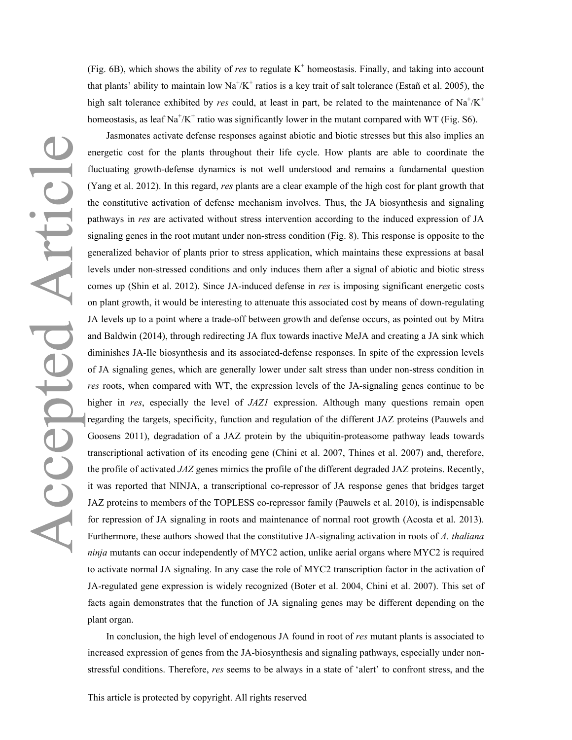(Fig.  $6B$ ), which shows the ability of *res* to regulate  $K^+$  homeostasis. Finally, and taking into account that plants' ability to maintain low  $\text{Na}^+\text{/K}^+$  ratios is a key trait of salt tolerance (Estañ et al. 2005), the high salt tolerance exhibited by *res* could, at least in part, be related to the maintenance of  $Na^{+}/K^{+}$ homeostasis, as leaf  $\text{Na}^+\text{/K}^+$  ratio was significantly lower in the mutant compared with WT (Fig. S6).

Accepted Articl

Jasmonates activate defense responses against abiotic and biotic stresses but this also implies an energetic cost for the plants throughout their life cycle. How plants are able to coordinate the fluctuating growth-defense dynamics is not well understood and remains a fundamental question (Yang et al. 2012). In this regard, *res* plants are a clear example of the high cost for plant growth that the constitutive activation of defense mechanism involves. Thus, the JA biosynthesis and signaling pathways in *res* are activated without stress intervention according to the induced expression of JA signaling genes in the root mutant under non-stress condition (Fig. 8). This response is opposite to the generalized behavior of plants prior to stress application, which maintains these expressions at basal levels under non-stressed conditions and only induces them after a signal of abiotic and biotic stress comes up (Shin et al. 2012). Since JA-induced defense in *res* is imposing significant energetic costs on plant growth, it would be interesting to attenuate this associated cost by means of down-regulating JA levels up to a point where a trade-off between growth and defense occurs, as pointed out by Mitra and Baldwin (2014), through redirecting JA flux towards inactive MeJA and creating a JA sink which diminishes JA-Ile biosynthesis and its associated-defense responses. In spite of the expression levels of JA signaling genes, which are generally lower under salt stress than under non-stress condition in *res* roots, when compared with WT, the expression levels of the JA-signaling genes continue to be higher in *res*, especially the level of *JAZ1* expression. Although many questions remain open regarding the targets, specificity, function and regulation of the different JAZ proteins (Pauwels and Goosens 2011), degradation of a JAZ protein by the ubiquitin-proteasome pathway leads towards transcriptional activation of its encoding gene (Chini et al. 2007, Thines et al. 2007) and, therefore, the profile of activated *JAZ* genes mimics the profile of the different degraded JAZ proteins. Recently, it was reported that NINJA, a transcriptional co-repressor of JA response genes that bridges target JAZ proteins to members of the TOPLESS co-repressor family (Pauwels et al. 2010), is indispensable for repression of JA signaling in roots and maintenance of normal root growth (Acosta et al. 2013). Furthermore, these authors showed that the constitutive JA-signaling activation in roots of *A. thaliana ninja* mutants can occur independently of MYC2 action, unlike aerial organs where MYC2 is required to activate normal JA signaling. In any case the role of MYC2 transcription factor in the activation of JA-regulated gene expression is widely recognized (Boter et al. 2004, Chini et al. 2007). This set of facts again demonstrates that the function of JA signaling genes may be different depending on the plant organ.

In conclusion, the high level of endogenous JA found in root of *res* mutant plants is associated to increased expression of genes from the JA-biosynthesis and signaling pathways, especially under nonstressful conditions. Therefore, *res* seems to be always in a state of 'alert' to confront stress, and the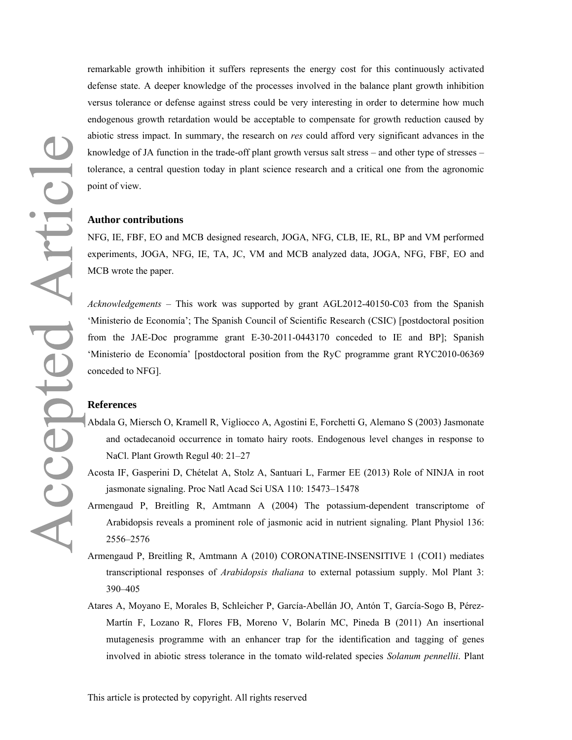remarkable growth inhibition it suffers represents the energy cost for this continuously activated defense state. A deeper knowledge of the processes involved in the balance plant growth inhibition versus tolerance or defense against stress could be very interesting in order to determine how much endogenous growth retardation would be acceptable to compensate for growth reduction caused by abiotic stress impact. In summary, the research on *res* could afford very significant advances in the knowledge of JA function in the trade-off plant growth versus salt stress – and other type of stresses – tolerance, a central question today in plant science research and a critical one from the agronomic point of view.

### **Author contributions**

NFG, IE, FBF, EO and MCB designed research, JOGA, NFG, CLB, IE, RL, BP and VM performed experiments, JOGA, NFG, IE, TA, JC, VM and MCB analyzed data, JOGA, NFG, FBF, EO and MCB wrote the paper.

*Acknowledgements* – This work was supported by grant AGL2012-40150-C03 from the Spanish 'Ministerio de Economía'; The Spanish Council of Scientific Research (CSIC) [postdoctoral position from the JAE-Doc programme grant E-30-2011-0443170 conceded to IE and BP]; Spanish 'Ministerio de Economía' [postdoctoral position from the RyC programme grant RYC2010-06369 conceded to NFG].

### **References**

- Abdala G, Miersch O, Kramell R, Vigliocco A, Agostini E, Forchetti G, Alemano S (2003) Jasmonate and octadecanoid occurrence in tomato hairy roots. Endogenous level changes in response to NaCl. Plant Growth Regul 40: 21–27
- Acosta IF, Gasperini D, Chételat A, Stolz A, Santuari L, Farmer EE (2013) Role of NINJA in root jasmonate signaling. Proc Natl Acad Sci USA 110: 15473–15478
- Armengaud P, Breitling R, Amtmann A (2004) The potassium-dependent transcriptome of Arabidopsis reveals a prominent role of jasmonic acid in nutrient signaling. Plant Physiol 136: 2556–2576
- Armengaud P, Breitling R, Amtmann A (2010) CORONATINE-INSENSITIVE 1 (COI1) mediates transcriptional responses of *Arabidopsis thaliana* to external potassium supply. Mol Plant 3: 390–405
- Atares A, Moyano E, Morales B, Schleicher P, García-Abellán JO, Antón T, García-Sogo B, Pérez-Martín F, Lozano R, Flores FB, Moreno V, Bolarín MC, Pineda B (2011) An insertional mutagenesis programme with an enhancer trap for the identification and tagging of genes involved in abiotic stress tolerance in the tomato wild-related species *Solanum pennellii*. Plant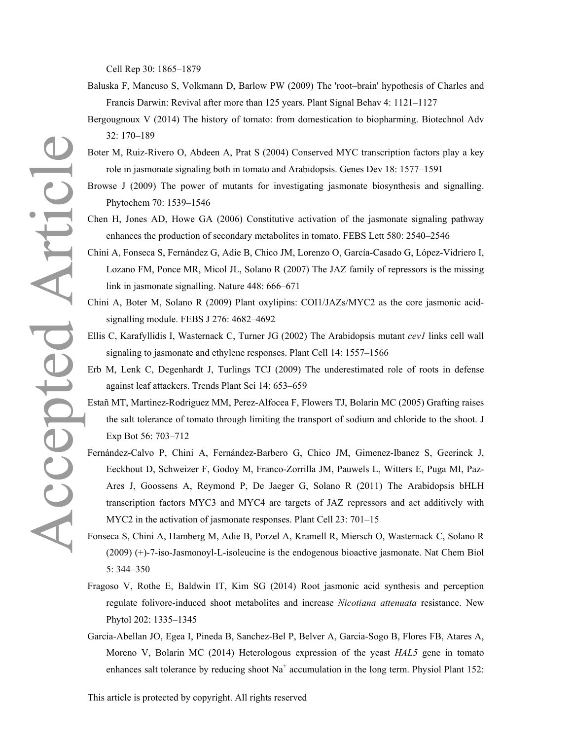Cell Rep 30: 1865–1879

- Baluska F, Mancuso S, Volkmann D, Barlow PW (2009) The 'root–brain' hypothesis of Charles and Francis Darwin: Revival after more than 125 years. Plant Signal Behav 4: 1121–1127
- Bergougnoux V (2014) The history of tomato: from domestication to biopharming. Biotechnol Adv 32: 170–189
- role in jasmonate signaling both in tomato and Arabidopsis. Genes Dev 18: 1577–1591
- Browse J (2009) The power of mutants for investigating jasmonate biosynthesis and signalling. Phytochem 70: 1539–1546
- Chen H, Jones AD, Howe GA (2006) Constitutive activation of the jasmonate signaling pathway enhances the production of secondary metabolites in tomato. FEBS Lett 580: 2540–2546
- Chini A, Fonseca S, Fernández G, Adie B, Chico JM, Lorenzo O, García-Casado G, López-Vidriero I, Lozano FM, Ponce MR, Micol JL, Solano R (2007) The JAZ family of repressors is the missing link in jasmonate signalling. Nature 448: 666–671
- Chini A, Boter M, Solano R (2009) Plant oxylipins: COI1/JAZs/MYC2 as the core jasmonic acidsignalling module. FEBS J 276: 4682–4692
- Ellis C, Karafyllidis I, Wasternack C, Turner JG (2002) The Arabidopsis mutant *cev1* links cell wall signaling to jasmonate and ethylene responses. Plant Cell 14: 1557–1566
- Erb M, Lenk C, Degenhardt J, Turlings TCJ (2009) The underestimated role of roots in defense against leaf attackers. Trends Plant Sci 14: 653–659
- Estañ MT, Martinez-Rodriguez MM, Perez-Alfocea F, Flowers TJ, Bolarin MC (2005) Grafting raises the salt tolerance of tomato through limiting the transport of sodium and chloride to the shoot. J Exp Bot 56: 703–712
- Boter M, Ruiz-Rivero O, Abdeen A, Prat S (2004) Conserved MYC transcription factors play a key<br>
note in jasmonate signaling heath in turnula and Ambidaptois. Genes Dev 18: 1577–1591<br>
Hrvose J (2009) The power of mutants fo Fernández-Calvo P, Chini A, Fernández-Barbero G, Chico JM, Gimenez-Ibanez S, Geerinck J, Eeckhout D, Schweizer F, Godoy M, Franco-Zorrilla JM, Pauwels L, Witters E, Puga MI, Paz-Ares J, Goossens A, Reymond P, De Jaeger G, Solano R (2011) The Arabidopsis bHLH transcription factors MYC3 and MYC4 are targets of JAZ repressors and act additively with MYC2 in the activation of jasmonate responses. Plant Cell 23: 701–15
	- Fonseca S, Chini A, Hamberg M, Adie B, Porzel A, Kramell R, Miersch O, Wasternack C, Solano R (2009) (+)-7-iso-Jasmonoyl-L-isoleucine is the endogenous bioactive jasmonate. Nat Chem Biol 5: 344–350
	- Fragoso V, Rothe E, Baldwin IT, Kim SG (2014) Root jasmonic acid synthesis and perception regulate folivore-induced shoot metabolites and increase *Nicotiana attenuata* resistance. New Phytol 202: 1335–1345
	- Garcia-Abellan JO, Egea I, Pineda B, Sanchez-Bel P, Belver A, Garcia-Sogo B, Flores FB, Atares A, Moreno V, Bolarin MC (2014) Heterologous expression of the yeast *HAL5* gene in tomato enhances salt tolerance by reducing shoot  $Na<sup>+</sup>$  accumulation in the long term. Physiol Plant 152: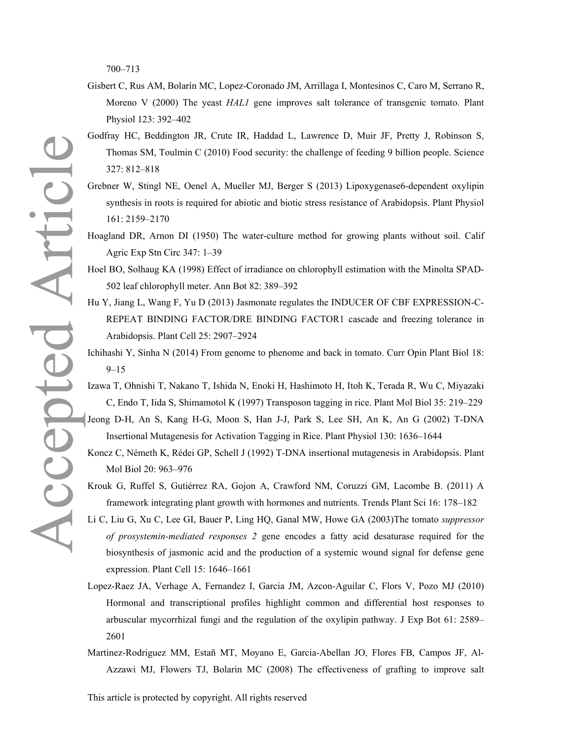700–713

- Gisbert C, Rus AM, Bolarín MC, Lopez-Coronado JM, Arrillaga I, Montesinos C, Caro M, Serrano R, Moreno V (2000) The yeast *HAL1* gene improves salt tolerance of transgenic tomato. Plant Physiol 123: 392–402
- Godfray HC, Beddington JR, Crute IR, Haddad L, Lawrence D, Muir JF, Pretty J, Robinson S, Thomas SM, Toulmin C (2010) Food security: the challenge of feeding 9 billion people. Science 327: 812–818
- Grebner W, Stingl NE, Oenel A, Mueller MJ, Berger S (2013) Lipoxygenase6-dependent oxylipin synthesis in roots is required for abiotic and biotic stress resistance of Arabidopsis. Plant Physiol 161: 2159–2170
- Hoagland DR, Arnon DI (1950) The water-culture method for growing plants without soil. Calif Agric Exp Stn Circ 347: 1–39
- Hoel BO, Solhaug KA (1998) Effect of irradiance on chlorophyll estimation with the Minolta SPAD-502 leaf chlorophyll meter. Ann Bot 82: 389–392
- Hu Y, Jiang L, Wang F, Yu D (2013) Jasmonate regulates the INDUCER OF CBF EXPRESSION-C-REPEAT BINDING FACTOR/DRE BINDING FACTOR1 cascade and freezing tolerance in Arabidopsis. Plant Cell 25: 2907–2924
- Ichihashi Y, Sinha N (2014) From genome to phenome and back in tomato. Curr Opin Plant Biol 18: 9–15
- Izawa T, Ohnishi T, Nakano T, Ishida N, Enoki H, Hashimoto H, Itoh K, Terada R, Wu C, Miyazaki C, Endo T, Iida S, Shimamotol K (1997) Transposon tagging in rice. Plant Mol Biol 35: 219–229
- Jeong D-H, An S, Kang H-G, Moon S, Han J-J, Park S, Lee SH, An K, An G (2002) T-DNA Insertional Mutagenesis for Activation Tagging in Rice. Plant Physiol 130: 1636–1644
- Koncz C, Németh K, Rédei GP, Schell J (1992) T-DNA insertional mutagenesis in Arabidopsis. Plant Mol Biol 20: 963–976
- Krouk G, Ruffel S, Gutiérrez RA, Gojon A, Crawford NM, Coruzzi GM, Lacombe B. (2011) A framework integrating plant growth with hormones and nutrients. Trends Plant Sci 16: 178–182
- Li C, Liu G, Xu C, Lee GI, Bauer P, Ling HQ, Ganal MW, Howe GA (2003)The tomato *suppressor of prosystemin-mediated responses 2* gene encodes a fatty acid desaturase required for the biosynthesis of jasmonic acid and the production of a systemic wound signal for defense gene expression. Plant Cell 15: 1646–1661
- Lopez-Raez JA, Verhage A, Fernandez I, Garcia JM, Azcon-Aguilar C, Flors V, Pozo MJ (2010) Hormonal and transcriptional profiles highlight common and differential host responses to arbuscular mycorrhizal fungi and the regulation of the oxylipin pathway. J Exp Bot 61: 2589– 2601
- Martinez-Rodriguez MM, Estañ MT, Moyano E, Garcia-Abellan JO, Flores FB, Campos JF, Al-Azzawi MJ, Flowers TJ, Bolarin MC (2008) The effectiveness of grafting to improve salt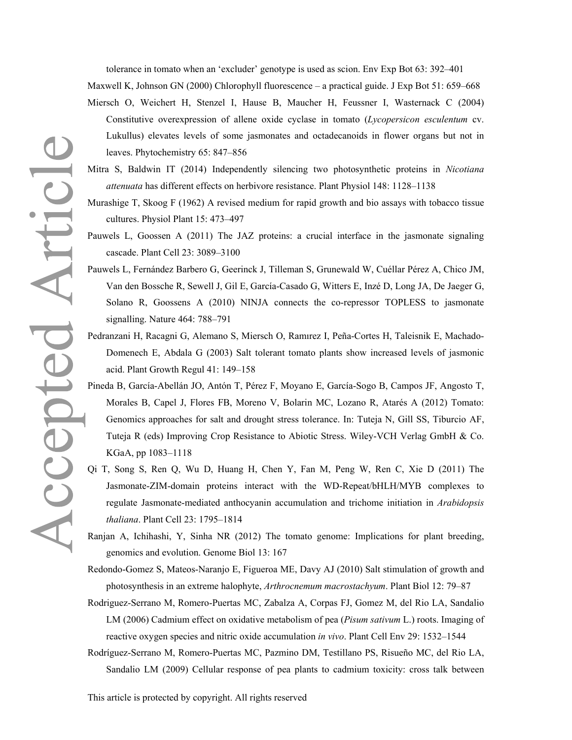tolerance in tomato when an 'excluder' genotype is used as scion. Env Exp Bot 63: 392–401 Maxwell K, Johnson GN (2000) Chlorophyll fluorescence – a practical guide. J Exp Bot 51: 659–668

- Miersch O, Weichert H, Stenzel I, Hause B, Maucher H, Feussner I, Wasternack C (2004) Constitutive overexpression of allene oxide cyclase in tomato (*Lycopersicon esculentum* cv. Lukullus) elevates levels of some jasmonates and octadecanoids in flower organs but not in leaves. Phytochemistry 65: 847–856
- Mitra S, Baldwin IT (2014) Independently silencing two photosynthetic proteins in *Nicotiana attenuata* has different effects on herbivore resistance. Plant Physiol 148: 1128–1138
- Murashige T, Skoog F (1962) A revised medium for rapid growth and bio assays with tobacco tissue cultures. Physiol Plant 15: 473–497
- Pauwels L, Goossen A (2011) The JAZ proteins: a crucial interface in the jasmonate signaling cascade. Plant Cell 23: 3089–3100
- Pauwels L, Fernández Barbero G, Geerinck J, Tilleman S, Grunewald W, Cuéllar Pérez A, Chico JM, Van den Bossche R, Sewell J, Gil E, García-Casado G, Witters E, Inzé D, Long JA, De Jaeger G, Solano R, Goossens A (2010) NINJA connects the co-repressor TOPLESS to jasmonate signalling. Nature 464: 788–791
- Pedranzani H, Racagni G, Alemano S, Miersch O, Ramırez I, Peña-Cortes H, Taleisnik E, Machado-Domenech E, Abdala G (2003) Salt tolerant tomato plants show increased levels of jasmonic acid. Plant Growth Regul 41: 149–158
- Pineda B, García-Abellán JO, Antón T, Pérez F, Moyano E, García-Sogo B, Campos JF, Angosto T, Morales B, Capel J, Flores FB, Moreno V, Bolarin MC, Lozano R, Atarés A (2012) Tomato: Genomics approaches for salt and drought stress tolerance. In: Tuteja N, Gill SS, Tiburcio AF, Tuteja R (eds) Improving Crop Resistance to Abiotic Stress. Wiley-VCH Verlag GmbH & Co. KGaA, pp 1083–1118
- Qi T, Song S, Ren Q, Wu D, Huang H, Chen Y, Fan M, Peng W, Ren C, Xie D (2011) The Jasmonate-ZIM-domain proteins interact with the WD-Repeat/bHLH/MYB complexes to regulate Jasmonate-mediated anthocyanin accumulation and trichome initiation in *Arabidopsis thaliana*. Plant Cell 23: 1795–1814
- Ranjan A, Ichihashi, Y, Sinha NR (2012) The tomato genome: Implications for plant breeding, genomics and evolution. Genome Biol 13: 167

Redondo-Gomez S, Mateos-Naranjo E, Figueroa ME, Davy AJ (2010) Salt stimulation of growth and photosynthesis in an extreme halophyte, *Arthrocnemum macrostachyum*. Plant Biol 12: 79–87

- Rodriguez-Serrano M, Romero-Puertas MC, Zabalza A, Corpas FJ, Gomez M, del Rio LA, Sandalio LM (2006) Cadmium effect on oxidative metabolism of pea (*Pisum sativum* L.) roots. Imaging of reactive oxygen species and nitric oxide accumulation *in vivo*. Plant Cell Env 29: 1532–1544
- Rodríguez-Serrano M, Romero-Puertas MC, Pazmino DM, Testillano PS, Risueño MC, del Rio LA, Sandalio LM (2009) Cellular response of pea plants to cadmium toxicity: cross talk between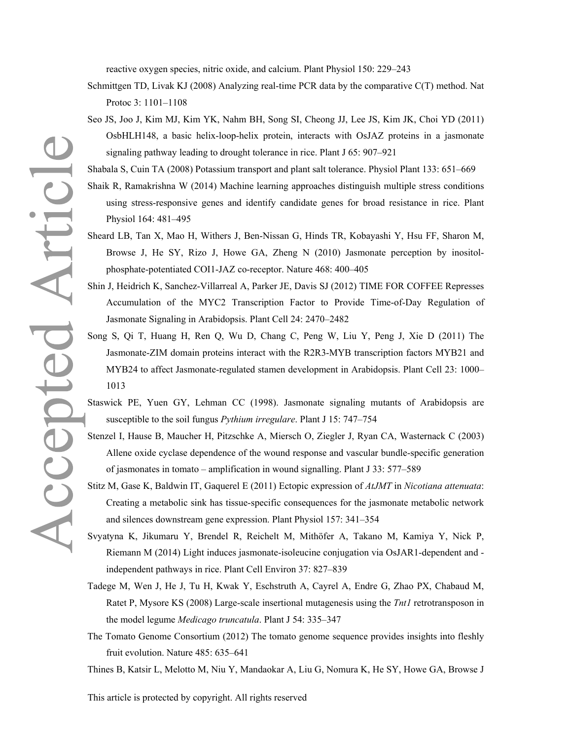reactive oxygen species, nitric oxide, and calcium. Plant Physiol 150: 229–243

- Schmittgen TD, Livak KJ (2008) Analyzing real-time PCR data by the comparative C(T) method. Nat Protoc 3: 1101–1108
- Seo JS, Joo J, Kim MJ, Kim YK, Nahm BH, Song SI, Cheong JJ, Lee JS, Kim JK, Choi YD (2011) OsbHLH148, a basic helix-loop-helix protein, interacts with OsJAZ proteins in a jasmonate signaling pathway leading to drought tolerance in rice. Plant J 65: 907–921
- Shabala S, Cuin TA (2008) Potassium transport and plant salt tolerance. Physiol Plant 133: 651–669
- Shaik R, Ramakrishna W (2014) Machine learning approaches distinguish multiple stress conditions using stress-responsive genes and identify candidate genes for broad resistance in rice. Plant Physiol 164: 481–495
- Sheard LB, Tan X, Mao H, Withers J, Ben-Nissan G, Hinds TR, Kobayashi Y, Hsu FF, Sharon M, Browse J, He SY, Rizo J, Howe GA, Zheng N (2010) Jasmonate perception by inositolphosphate-potentiated COI1-JAZ co-receptor. Nature 468: 400–405
- Shin J, Heidrich K, Sanchez-Villarreal A, Parker JE, Davis SJ (2012) TIME FOR COFFEE Represses Accumulation of the MYC2 Transcription Factor to Provide Time-of-Day Regulation of Jasmonate Signaling in Arabidopsis. Plant Cell 24: 2470–2482
- Song S, Qi T, Huang H, Ren Q, Wu D, Chang C, Peng W, Liu Y, Peng J, Xie D (2011) The Jasmonate-ZIM domain proteins interact with the R2R3-MYB transcription factors MYB21 and MYB24 to affect Jasmonate-regulated stamen development in Arabidopsis. Plant Cell 23: 1000– 1013
- Staswick PE, Yuen GY, Lehman CC (1998). Jasmonate signaling mutants of Arabidopsis are susceptible to the soil fungus *Pythium irregulare*. Plant J 15: 747–754
- Stenzel I, Hause B, Maucher H, Pitzschke A, Miersch O, Ziegler J, Ryan CA, Wasternack C (2003) Allene oxide cyclase dependence of the wound response and vascular bundle-specific generation of jasmonates in tomato – amplification in wound signalling. Plant J 33: 577–589
- Stitz M, Gase K, Baldwin IT, Gaquerel E (2011) Ectopic expression of *AtJMT* in *Nicotiana attenuata*: Creating a metabolic sink has tissue-specific consequences for the jasmonate metabolic network and silences downstream gene expression. Plant Physiol 157: 341–354
- Svyatyna K, Jikumaru Y, Brendel R, Reichelt M, Mithöfer A, Takano M, Kamiya Y, Nick P, Riemann M (2014) Light induces jasmonate-isoleucine conjugation via OsJAR1-dependent and independent pathways in rice. Plant Cell Environ 37: 827–839
- Tadege M, Wen J, He J, Tu H, Kwak Y, Eschstruth A, Cayrel A, Endre G, Zhao PX, Chabaud M, Ratet P, Mysore KS (2008) Large-scale insertional mutagenesis using the *Tnt1* retrotransposon in the model legume *Medicago truncatula*. Plant J 54: 335–347
- The Tomato Genome Consortium (2012) The tomato genome sequence provides insights into fleshly fruit evolution. Nature 485: 635–641
- Thines B, Katsir L, Melotto M, Niu Y, Mandaokar A, Liu G, Nomura K, He SY, Howe GA, Browse J

This article is protected by copyright. All rights reserved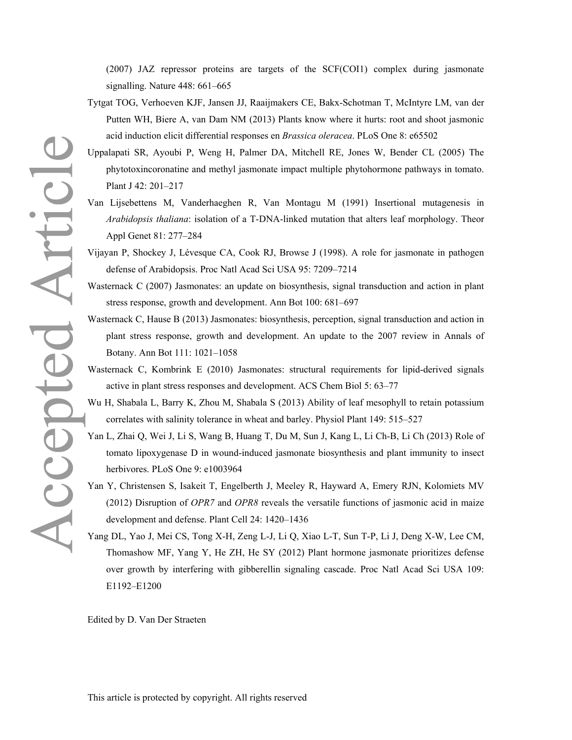(2007) JAZ repressor proteins are targets of the SCF(COI1) complex during jasmonate signalling. Nature 448: 661–665

- Tytgat TOG, Verhoeven KJF, Jansen JJ, Raaijmakers CE, Bakx-Schotman T, McIntyre LM, van der Putten WH, Biere A, van Dam NM (2013) Plants know where it hurts: root and shoot jasmonic acid induction elicit differential responses en *Brassica oleracea*. PLoS One 8: e65502
- phytotoxincoronatine and methyl jasmonate impact multiple phytohormone pathways in tomato. Plant J 42: 201–217
- Van Lijsebettens M, Vanderhaeghen R, Van Montagu M (1991) Insertional mutagenesis in *Arabidopsis thaliana*: isolation of a T-DNA-linked mutation that alters leaf morphology. Theor Appl Genet 81: 277–284
- Vijayan P, Shockey J, Lévesque CA, Cook RJ, Browse J (1998). A role for jasmonate in pathogen defense of Arabidopsis. Proc Natl Acad Sci USA 95: 7209–7214
- Wasternack C (2007) Jasmonates: an update on biosynthesis, signal transduction and action in plant stress response, growth and development. Ann Bot 100: 681–697
- Wasternack C, Hause B (2013) Jasmonates: biosynthesis, perception, signal transduction and action in plant stress response, growth and development. An update to the 2007 review in Annals of Botany. Ann Bot 111: 1021–1058
- Wasternack C, Kombrink E (2010) Jasmonates: structural requirements for lipid-derived signals active in plant stress responses and development. ACS Chem Biol 5: 63–77
- Wu H, Shabala L, Barry K, Zhou M, Shabala S (2013) Ability of leaf mesophyll to retain potassium correlates with salinity tolerance in wheat and barley. Physiol Plant 149: 515–527
- Yan L, Zhai Q, Wei J, Li S, Wang B, Huang T, Du M, Sun J, Kang L, Li Ch-B, Li Ch (2013) Role of tomato lipoxygenase D in wound-induced jasmonate biosynthesis and plant immunity to insect herbivores. PLoS One 9: e1003964
- Yan Y, Christensen S, Isakeit T, Engelberth J, Meeley R, Hayward A, Emery RJN, Kolomiets MV (2012) Disruption of *OPR7* and *OPR8* reveals the versatile functions of jasmonic acid in maize development and defense. Plant Cell 24: 1420–1436
- Yang DL, Yao J, Mei CS, Tong X-H, Zeng L-J, Li Q, Xiao L-T, Sun T-P, Li J, Deng X-W, Lee CM, Thomashow MF, Yang Y, He ZH, He SY (2012) Plant hormone jasmonate prioritizes defense over growth by interfering with gibberellin signaling cascade. Proc Natl Acad Sci USA 109: E1192–E1200

Edited by D. Van Der Straeten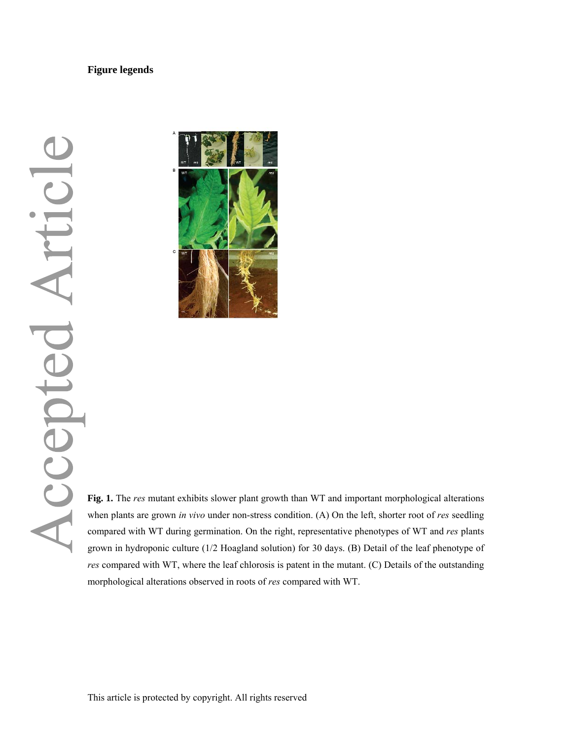### **Figure legends**



Fig. 1. The *res* mutant exhibits slower plant growth than WT and important morphological alterations<br>when plants are grown *in vivo* under non-stress condition. (A) On the left, shorter root of *res* seedling<br>compared wit when plants are grown *in vivo* under non-stress condition. (A) On the left, shorter root of *res* seedling compared with WT during germination. On the right, representative phenotypes of WT and *res* plants grown in hydroponic culture (1/2 Hoagland solution) for 30 days. (B) Detail of the leaf phenotype of *res* compared with WT, where the leaf chlorosis is patent in the mutant. (C) Details of the outstanding morphological alterations observed in roots of *res* compared with WT.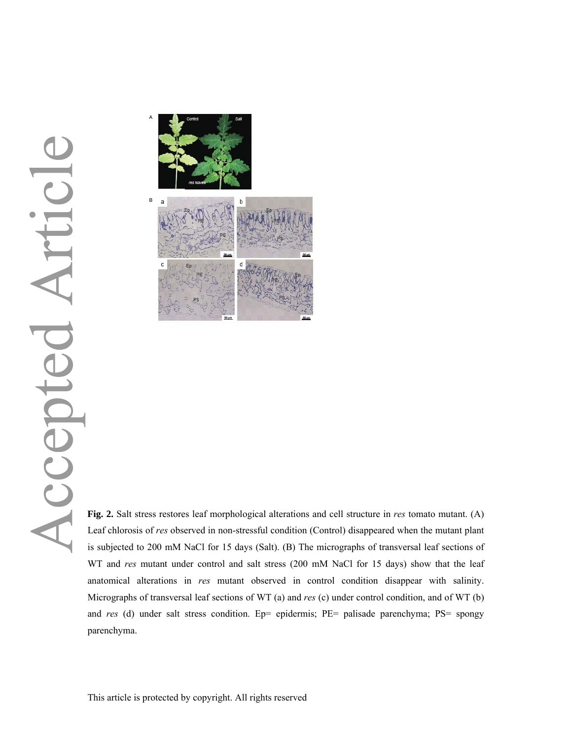

Fig. 2. Salt stress restores leaf morphological alterations and cell structure in *res* tomato mutant. (A)<br>Leaf chlorosis of *res* observed in non-stressful condition (Control) disappeared when the mutant plant Leaf chlorosis of *res* observed in non-stressful condition (Control) disappeared when the mutant plant is subjected to 200 mM NaCl for 15 days (Salt). (B) The micrographs of transversal leaf sections of WT and *res* mutant under control and salt stress (200 mM NaCl for 15 days) show that the leaf anatomical alterations in *res* mutant observed in control condition disappear with salinity. Micrographs of transversal leaf sections of WT (a) and *res* (c) under control condition, and of WT (b) and *res* (d) under salt stress condition. Ep= epidermis; PE= palisade parenchyma; PS= spongy parenchyma.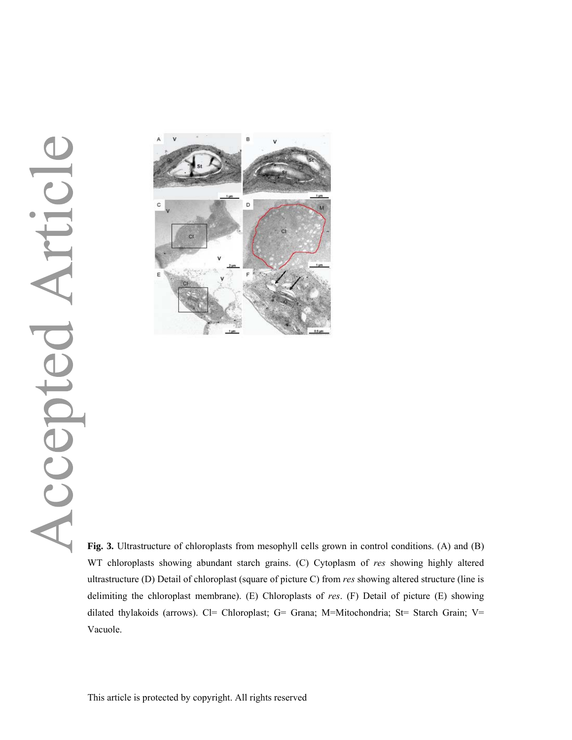## Articl Accepted



**Fig. 3.** Ultrastructure of chloroplasts from mesophyll cells grown in control conditions. (A) and (B) WT chloroplasts showing abundant starch grains. (C) Cytoplasm of *res* showing highly altered ultrastructure (D) Detail of chloroplast (square of picture C) from *res* showing altered structure (line is delimiting the chloroplast membrane). (E) Chloroplasts of *res*. (F) Detail of picture (E) showing dilated thylakoids (arrows). Cl= Chloroplast; G= Grana; M=Mitochondria; St= Starch Grain; V= Vacuole.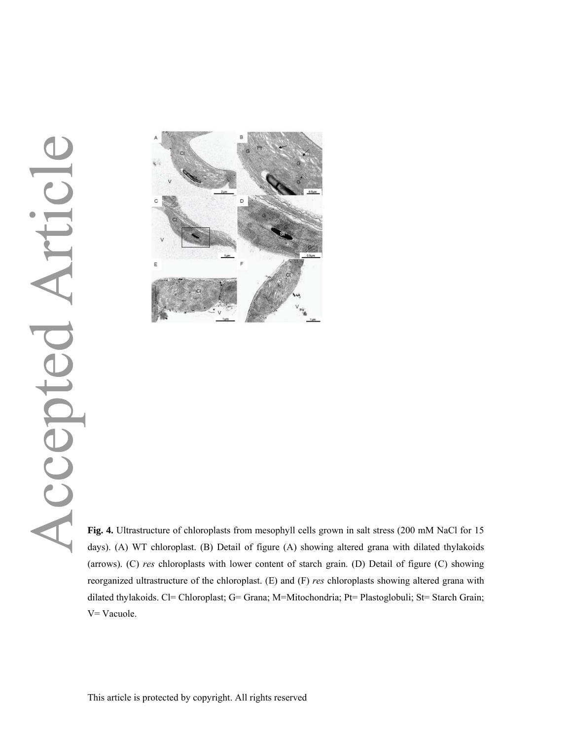## Articl Accepted



**Fig. 4.** Ultrastructure of chloroplasts from mesophyll cells grown in salt stress (200 mM NaCl for 15 days). (A) WT chloroplast. (B) Detail of figure (A) showing altered grana with dilated thylakoids (arrows). (C) *res* chloroplasts with lower content of starch grain. (D) Detail of figure (C) showing reorganized ultrastructure of the chloroplast. (E) and (F) *res* chloroplasts showing altered grana with dilated thylakoids. Cl= Chloroplast; G= Grana; M=Mitochondria; Pt= Plastoglobuli; St= Starch Grain; V= Vacuole.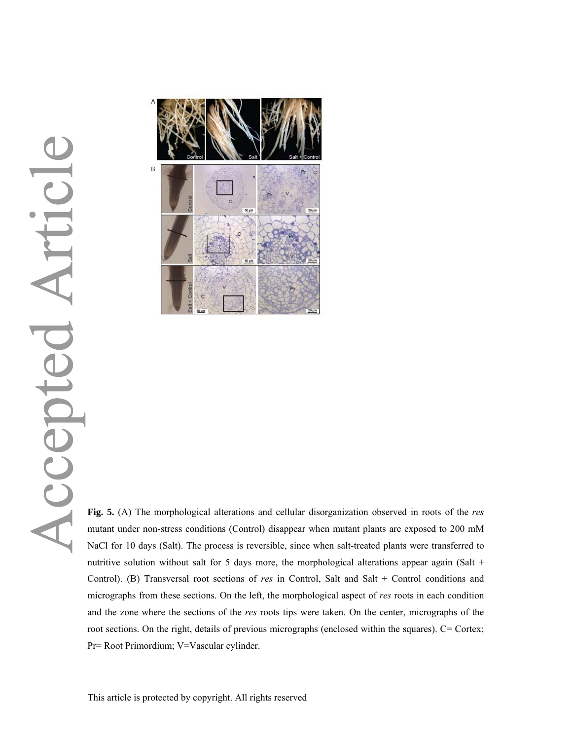

**Fig. 5.** (A) The morphological alterations and cellular disorganization observed in roots of the *res*  mutant under non-stress conditions (Control) disappear when mutant plants are exposed to 200 mM NaCl for 10 days (Salt). The process is reversible, since when salt-treated plants were transferred to nutritive solution without salt for 5 days more, the morphological alterations appear again (Salt  $+$ Control). (B) Transversal root sections of *res* in Control, Salt and Salt + Control conditions and micrographs from these sections. On the left, the morphological aspect of *res* roots in each condition and the zone where the sections of the *res* roots tips were taken. On the center, micrographs of the root sections. On the right, details of previous micrographs (enclosed within the squares). C= Cortex; Pr= Root Primordium; V=Vascular cylinder.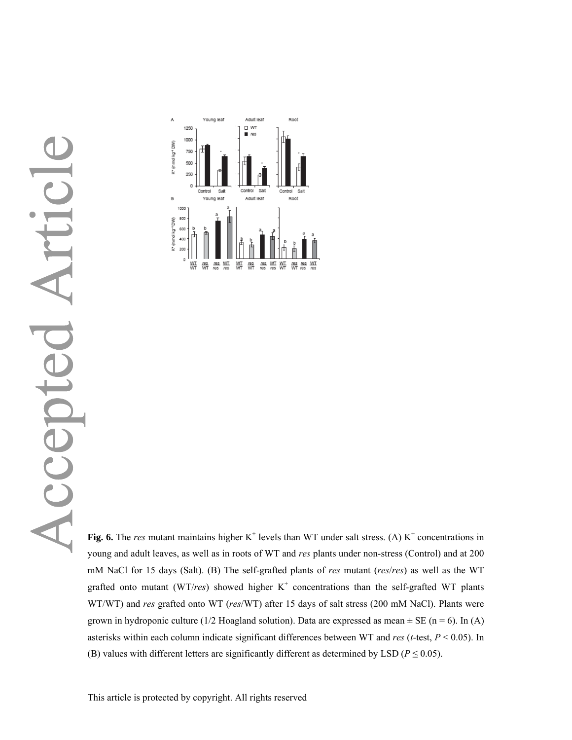# Articl



Fig. 6. The *res* mutant maintains higher  $K^+$  levels than WT under salt stress. (A)  $K^+$  concentrations in young and adult leaves, as well as in roots of WT and *res* plants under non-stress (Control) and at 200 mM NaCl for 15 days (Salt). (B) The self-grafted plants of *res* mutant (*res*/*res*) as well as the WT grafted onto mutant (WT/ $res$ ) showed higher  $K^+$  concentrations than the self-grafted WT plants WT/WT) and *res* grafted onto WT (*res*/WT) after 15 days of salt stress (200 mM NaCl). Plants were grown in hydroponic culture (1/2 Hoagland solution). Data are expressed as mean  $\pm$  SE (n = 6). In (A) asterisks within each column indicate significant differences between WT and *res* (*t*-test, *P* < 0.05). In (B) values with different letters are significantly different as determined by LSD ( $P \le 0.05$ ).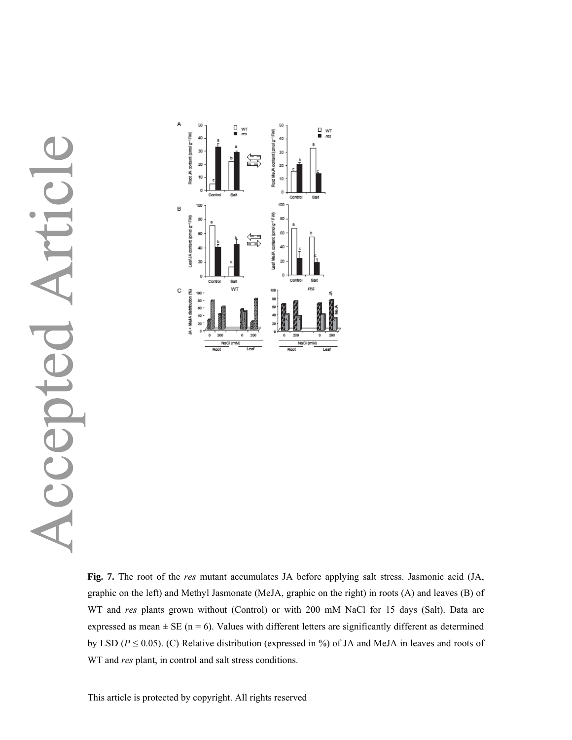### rtic  $\sum_{\mathbf{a}}$ Accepte



**Fig. 7.** The root of the *res* mutant accumulates JA before applying salt stress. Jasmonic acid (JA, graphic on the left) and Methyl Jasmonate (MeJA, graphic on the right) in roots (A) and leaves (B) of WT and *res* plants grown without (Control) or with 200 mM NaCl for 15 days (Salt). Data are expressed as mean  $\pm$  SE (n = 6). Values with different letters are significantly different as determined by LSD ( $P \le 0.05$ ). (C) Relative distribution (expressed in %) of JA and MeJA in leaves and roots of WT and *res* plant, in control and salt stress conditions.